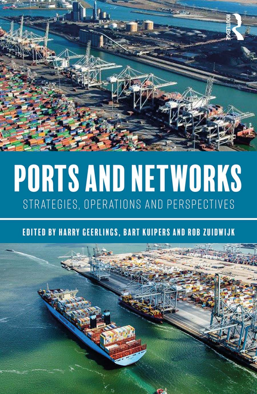

# **PORTS AND NETWORKS** STRATEGIES, OPERATIONS AND PERSPECTIVES

## **EDITED BY HARRY GEERLINGS, BART KUIPERS AND ROB ZUIDWIJK**

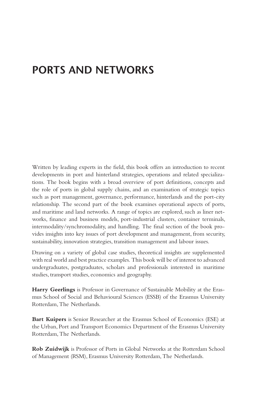## **Ports and Networks**

Written by leading experts in the field, this book offers an introduction to recent developments in port and hinterland strategies, operations and related specializations. The book begins with a broad overview of port definitions, concepts and the role of ports in global supply chains, and an examination of strategic topics such as port management, governance, performance, hinterlands and the port-city relationship. The second part of the book examines operational aspects of ports, and maritime and land networks. A range of topics are explored, such as liner networks, finance and business models, port-industrial clusters, container terminals, intermodality/synchromodality, and handling. The final section of the book provides insights into key issues of port development and management, from security, sustainability, innovation strategies, transition management and labour issues.

Drawing on a variety of global case studies, theoretical insights are supplemented with real world and best practice examples. This book will be of interest to advanced undergraduates, postgraduates, scholars and professionals interested in maritime studies, transport studies, economics and geography.

**Harry Geerlings** is Professor in Governance of Sustainable Mobility at the Erasmus School of Social and Behavioural Sciences (ESSB) of the Erasmus University Rotterdam, The Netherlands.

**Bart Kuipers** is Senior Researcher at the Erasmus School of Economics (ESE) at the Urban, Port and Transport Economics Department of the Erasmus University Rotterdam, The Netherlands.

**Rob Zuidwijk** is Professor of Ports in Global Networks at the Rotterdam School of Management (RSM), Erasmus University Rotterdam, The Netherlands.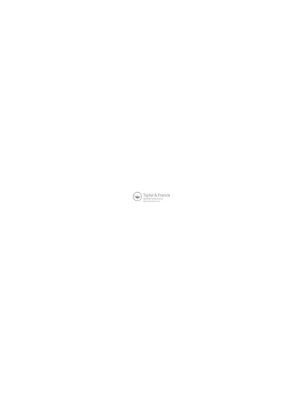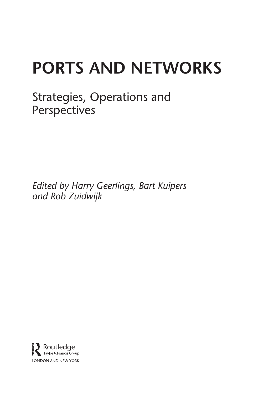## **Ports and Networks**

Strategies, Operations and Perspectives

*Edited by Harry Geerlings, Bart Kuipers and Rob Zuidwijk*

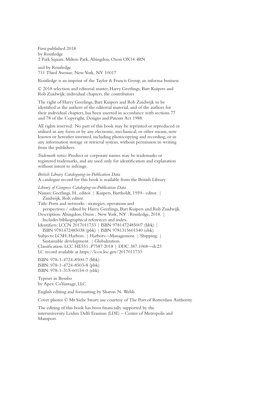First published 2018 by Routledge 2 Park Square, Milton Park, Abingdon, Oxon OX14 4RN

and by Routledge 711 Third Avenue, New York, NY 10017

Routledge is an imprint of the Taylor & Francis Group, an informa business

© 2018 selection and editorial matter, Harry Geerlings, Bart Kuipers and Rob Zuidwijk; individual chapters, the contributors

The right of Harry Geerlings, Bart Kuipers and Rob Zuidwijk to be identified as the authors of the editorial material, and of the authors for their individual chapters, has been asserted in accordance with sections 77 and 78 of the Copyright, Designs and Patents Act 1988.

All rights reserved. No part of this book may be reprinted or reproduced or utilised in any form or by any electronic, mechanical, or other means, now known or hereafter invented, including photocopying and recording, or in any information storage or retrieval system, without permission in writing from the publishers.

*Trademark notice*: Product or corporate names may be trademarks or registered trademarks, and are used only for identification and explanation without intent to infringe.

*British Library Cataloguing-in-Publication Data* A catalogue record for this book is available from the British Library

*Library of Congress Cataloging-in-Publication Data*  Names: Geerlings, H., editor. | Kuipers, Bartholdt, 1959– editor. | Zuidwijk, Rob, editor. Title: Ports and networks : strategies, operations and perspectives / edited by Harry Geerlings, Bart Kuipers and Rob Zuidwijk. Description: Abingdon, Oxon ; New York, NY : Routledge, 2018. | Includes bibliographical references and index. Identifiers: LCCN 2017011733 | ISBN 9781472485007 (hbk) | ISBN 9781472485038 (pbk) | ISBN 9781315601540 (ebk) Subjects: LCSH: Harbors. | Harbors—Management. | Shipping. | Sustainable development. | Globalization. Classification: LCC HE551 .P7587 2018 | DDC 387.1068—dc23 LC record available at<https://lccn.loc.gov/2017011733> ISBN: 978-1-4724-8500-7 (hbk) ISBN: 978-1-4724-8503-8 (pbk) ISBN: 978-1-315-60154-0 (ebk)

Typeset in Bembo by Apex CoVantage, LLC

English editing and formatting by Sharon N. Welsh

Cover photos © Mr Siebe Swart; use courtesy of The Port of Rotterdam Authority

The editing of this book has been financially supported by the interuniversity Leiden Delft Erasmus (LDE) – Center of Metropolis and Mainport.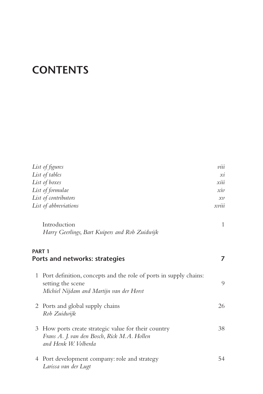## **Contents**

| List of figures                                                                                                                      | viii         |
|--------------------------------------------------------------------------------------------------------------------------------------|--------------|
| List of tables                                                                                                                       | xi           |
| List of boxes                                                                                                                        | xiii         |
| List of formulae                                                                                                                     | $xi\$        |
| List of contributors                                                                                                                 | $x\nu$       |
| List of abbreviations                                                                                                                | xviii        |
| Introduction                                                                                                                         | $\mathbf{1}$ |
| Harry Geerlings, Bart Kuipers and Rob Zuidwijk                                                                                       |              |
| <b>PART 1</b><br>Ports and networks: strategies                                                                                      | 7            |
| 1 Port definition, concepts and the role of ports in supply chains:<br>setting the scene<br>Michiel Nijdam and Martijn van der Horst | 9            |
| 2 Ports and global supply chains<br>Rob Zuidwijk                                                                                     | 26           |
| 3 How ports create strategic value for their country<br>Frans A. J. van den Bosch, Rick M.A. Hollen<br>and Henk W. Volberda          | 38           |
| 4 Port development company: role and strategy<br>Larissa van der Lugt                                                                | 54           |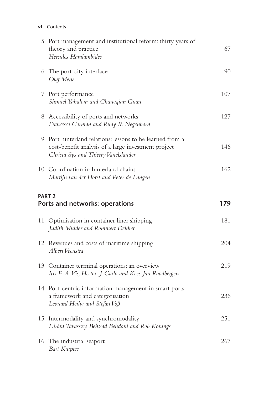| vi<br>Contents |
|----------------|
|----------------|

|    | 5 Port management and institutional reform: thirty years of<br>theory and practice<br>Hercules Haralambides                                              | 67  |
|----|----------------------------------------------------------------------------------------------------------------------------------------------------------|-----|
|    | 6 The port-city interface<br>Olaf Merk                                                                                                                   | 90  |
|    | 7 Port performance<br>Shmuel Yahalom and Changqian Guan                                                                                                  | 107 |
|    | 8 Accessibility of ports and networks<br>Francesco Corman and Rudy R. Negenborn                                                                          | 127 |
|    | 9 Port hinterland relations: lessons to be learned from a<br>cost-benefit analysis of a large investment project<br>Christa Sys and Thierry Vanelslander | 146 |
|    | 10 Coordination in hinterland chains<br>Martijn van der Horst and Peter de Langen                                                                        | 162 |
|    | PART <sub>2</sub><br>Ports and networks: operations                                                                                                      |     |
|    |                                                                                                                                                          | 179 |
|    | 11 Optimisation in container liner shipping<br>Judith Mulder and Rommert Dekker                                                                          | 181 |
|    | 12 Revenues and costs of maritime shipping<br>Albert Veenstra                                                                                            | 204 |
|    | 13 Container terminal operations: an overview<br>Iris F. A. Vis, Héctor J. Carlo and Kees Jan Roodbergen                                                 | 219 |
|    | 14 Port-centric information management in smart ports:<br>a framework and categorisation<br>Leonard Heilig and Stefan Voß                                | 236 |
| 15 | Intermodality and synchromodality<br>Lóránt Tavasszy, Behzad Behdani and Rob Konings                                                                     | 251 |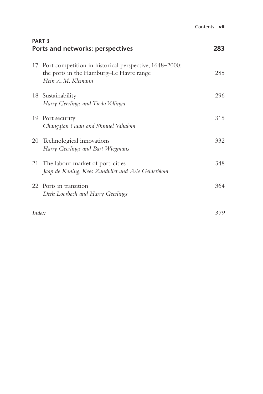|       | <b>PART 3</b><br>Ports and networks: perspectives                                                                         |     |
|-------|---------------------------------------------------------------------------------------------------------------------------|-----|
|       | 17 Port competition in historical perspective, 1648–2000:<br>the ports in the Hamburg-Le Havre range<br>Hein A.M. Klemann | 285 |
|       | 18 Sustainability<br>Harry Geerlings and Tiedo Vellinga                                                                   | 296 |
| 19    | Port security<br>Changqian Guan and Shmuel Yahalom                                                                        | 315 |
|       | 20 Technological innovations<br>Harry Geerlings and Bart Wiegmans                                                         | 332 |
|       | 21 The labour market of port-cities<br>Jaap de Koning, Kees Zandvliet and Arie Gelderblom                                 | 348 |
|       | 22 Ports in transition<br>Derk Loorbach and Harry Geerlings                                                               | 364 |
| Index |                                                                                                                           | 379 |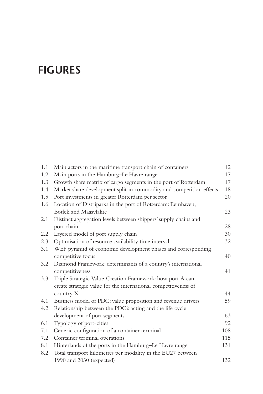## **Figures**

| 1.1 | Main actors in the maritime transport chain of containers           | 12  |
|-----|---------------------------------------------------------------------|-----|
| 1.2 | Main ports in the Hamburg-Le Havre range                            | 17  |
| 1.3 | Growth share matrix of cargo segments in the port of Rotterdam      | 17  |
| 1.4 | Market share development split in commodity and competition effects | 18  |
| 1.5 | Port investments in greater Rotterdam per sector                    | 20  |
| 1.6 | Location of Distriparks in the port of Rotterdam: Eemhaven,         |     |
|     | Botlek and Maasylakte                                               | 23  |
| 2.1 | Distinct aggregation levels between shippers' supply chains and     |     |
|     | port chain                                                          | 28  |
| 2.2 | Layered model of port supply chain                                  | 30  |
| 2.3 | Optimisation of resource availability time interval                 | 32  |
| 3.1 | WEF pyramid of economic development phases and corresponding        |     |
|     | competitive focus                                                   | 40  |
| 3.2 | Diamond Framework: determinants of a country's international        |     |
|     | competitiveness                                                     | 41  |
| 3.3 | Triple Strategic Value Creation Framework: how port A can           |     |
|     | create strategic value for the international competitiveness of     |     |
|     | country X                                                           | 44  |
| 4.1 | Business model of PDC: value proposition and revenue drivers        | 59  |
| 4.2 | Relationship between the PDC's acting and the life cycle            |     |
|     | development of port segments                                        | 63  |
| 6.1 | Typology of port-cities                                             | 92  |
| 7.1 | Generic configuration of a container terminal                       | 108 |
| 7.2 | Container terminal operations                                       | 115 |
| 8.1 | Hinterlands of the ports in the Hamburg-Le Havre range              | 131 |
| 8.2 | Total transport kilometres per modality in the EU27 between         |     |
|     | 1990 and 2030 (expected)                                            | 132 |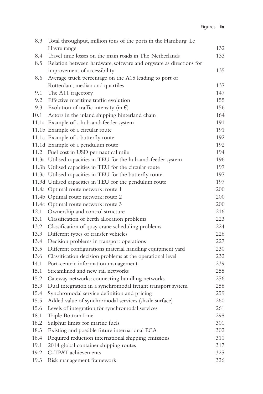| 8.3  | Total throughput, million tons of the ports in the Hamburg-Le     |     |
|------|-------------------------------------------------------------------|-----|
|      | Havre range                                                       | 132 |
| 8.4  | Travel time losses on the main roads in The Netherlands           | 133 |
| 8.5  | Relation between hardware, software and orgware as directions for |     |
|      | improvement of accessibility                                      | 135 |
| 8.6  | Average truck percentage on the A15 leading to port of            |     |
|      | Rotterdam, median and quartiles                                   | 137 |
| 9.1  | The A11 trajectory                                                | 147 |
| 9.2  | Effective maritime traffic evolution                              | 155 |
| 9.3  | Evolution of traffic intensity (in $\epsilon$ )                   | 156 |
| 10.1 | Actors in the inland shipping hinterland chain                    | 164 |
|      | 11.1a Example of a hub-and-feeder system                          | 191 |
|      | 11.1b Example of a circular route                                 | 191 |
|      | 11.1c Example of a butterfly route                                | 192 |
|      | 11.1d Example of a pendulum route                                 | 192 |
|      | 11.2 Fuel cost in USD per nautical mile                           | 194 |
|      | 11.3a Utilised capacities in TEU for the hub-and-feeder system    | 196 |
|      | 11.3b Utilised capacities in TEU for the circular route           | 197 |
|      | 11.3c Utilised capacities in TEU for the butterfly route          | 197 |
|      | 11.3d Utilised capacities in TEU for the pendulum route           | 197 |
|      | 11.4a Optimal route network: route 1                              | 200 |
|      | 11.4b Optimal route network: route 2                              | 200 |
|      | 11.4c Optimal route network: route 3                              | 200 |
|      | 12.1 Ownership and control structure                              | 216 |
|      | 13.1 Classification of berth allocation problems                  | 223 |
|      | 13.2 Classification of quay crane scheduling problems             | 224 |
| 13.3 | Different types of transfer vehicles                              | 226 |
| 13.4 | Decision problems in transport operations                         | 227 |
| 13.5 | Different configurations material handling equipment yard         | 230 |
| 13.6 | Classification decision problems at the operational level         | 232 |
| 14.1 | Port-centric information management                               | 239 |
| 15.1 | Streamlined and new rail networks                                 | 255 |
| 15.2 | Gateway networks: connecting bundling networks                    | 256 |
| 15.3 | Dual integration in a synchromodal freight transport system       | 258 |
| 15.4 | Synchromodal service definition and pricing                       | 259 |
| 15.5 | Added value of synchromodal services (shade surface)              | 260 |
| 15.6 | Levels of integration for synchromodal services                   | 261 |
| 18.1 | Triple Bottom Line                                                | 298 |
| 18.2 | Sulphur limits for marine fuels                                   | 301 |
| 18.3 | Existing and possible future international ECA                    | 302 |
| 18.4 | Required reduction international shipping emissions               | 310 |
| 19.1 | 2014 global container shipping routes                             | 317 |
| 19.2 | C-TPAT achievements                                               | 325 |
| 19.3 | Risk management framework                                         | 326 |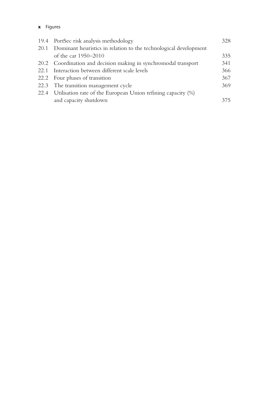#### **x** Figures

|      | 19.4 PortSec risk analysis methodology                                | 328 |
|------|-----------------------------------------------------------------------|-----|
|      | 20.1 Dominant heuristics in relation to the technological development |     |
|      | of the car 1950–2010                                                  | 335 |
|      | 20.2 Coordination and decision making in synchromodal transport       | 341 |
|      | 22.1 Interaction between different scale levels                       | 366 |
|      | 22.2 Four phases of transition                                        | 367 |
|      | 22.3 The transition management cycle                                  | 369 |
| 22.4 | Utilisation rate of the European Union refining capacity (%)          |     |
|      | and capacity shutdown                                                 | 375 |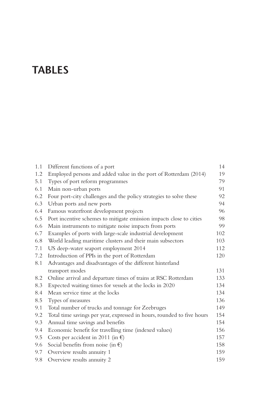## **Tables**

| 1.1 | Different functions of a port                                          | 14  |
|-----|------------------------------------------------------------------------|-----|
| 1.2 | Employed persons and added value in the port of Rotterdam (2014)       | 19  |
| 5.1 | Types of port reform programmes                                        | 79  |
| 6.1 | Main non-urban ports                                                   | 91  |
| 6.2 | Four port-city challenges and the policy strategies to solve these     | 92  |
| 6.3 | Urban ports and new ports                                              | 94  |
| 6.4 | Famous waterfront development projects                                 | 96  |
| 6.5 | Port incentive schemes to mitigate emission impacts close to cities    | 98  |
| 6.6 | Main instruments to mitigate noise impacts from ports                  | 99  |
| 6.7 | Examples of ports with large-scale industrial development              | 102 |
| 6.8 | World leading maritime clusters and their main subsectors              | 103 |
| 7.1 | US deep-water seaport employment 2014                                  | 112 |
| 7.2 | Introduction of PPIs in the port of Rotterdam                          | 120 |
| 8.1 | Advantages and disadvantages of the different hinterland               |     |
|     | transport modes                                                        | 131 |
| 8.2 | Online arrival and departure times of trains at RSC Rotterdam          | 133 |
| 8.3 | Expected waiting times for vessels at the locks in 2020                | 134 |
| 8.4 | Mean service time at the locks                                         | 134 |
| 8.5 | Types of measures                                                      | 136 |
| 9.1 | Total number of trucks and tonnage for Zeebruges                       | 149 |
| 9.2 | Total time savings per year, expressed in hours, rounded to five hours | 154 |
| 9.3 | Annual time savings and benefits                                       | 154 |
| 9.4 | Economic benefit for travelling time (indexed values)                  | 156 |
| 9.5 | Costs per accident in 2011 (in $\epsilon$ )                            | 157 |
| 9.6 | Social benefits from noise (in $\epsilon$ )                            | 158 |
| 9.7 | Overview results annuity 1                                             | 159 |
| 9.8 | Overview results annuity 2                                             | 159 |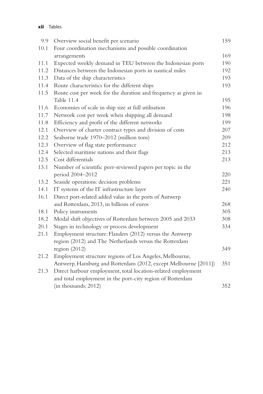| 9.9  | Overview social benefit per scenario                           | 159 |
|------|----------------------------------------------------------------|-----|
| 10.1 | Four coordination mechanisms and possible coordination         |     |
|      | arrangements                                                   | 169 |
| 11.1 | Expected weekly demand in TEU between the Indonesian ports     | 190 |
| 11.2 | Distances between the Indonesian ports in nautical miles       | 192 |
| 11.3 | Data of the ship characteristics                               | 193 |
| 11.4 | Route characteristics for the different ships                  | 193 |
| 11.5 | Route cost per week for the duration and frequency as given in |     |
|      | Table 11.4                                                     | 195 |
| 11.6 | Economies of scale in ship size at full utilisation            | 196 |
| 11.7 | Network cost per week when shipping all demand                 | 198 |
| 11.8 | Efficiency and profit of the different networks                | 199 |
| 12.1 | Overview of charter contract types and division of costs       | 207 |
| 12.2 | Seaborne trade 1970-2012 (million tons)                        | 209 |
| 12.3 | Overview of flag state performance                             | 212 |
| 12.4 | Selected maritime nations and their flags                      | 213 |
| 12.5 | Cost differentials                                             | 213 |
| 13.1 | Number of scientific peer-reviewed papers per topic in the     |     |
|      | period 2004-2012                                               | 220 |
| 13.2 | Seaside operations: decision problems                          | 221 |
| 14.1 | IT systems of the IT infrastructure layer                      | 240 |
| 16.1 | Direct port-related added value in the ports of Antwerp        |     |
|      | and Rotterdam, 2013, in billions of euros                      | 268 |
| 18.1 | Policy instruments                                             | 305 |
| 18.2 | Modal shift objectives of Rotterdam between 2005 and 2033      | 308 |
| 20.1 | Stages in technology or process development                    | 334 |
| 21.1 | Employment structure: Flanders (2012) versus the Antwerp       |     |
|      | region (2012) and The Netherlands versus the Rotterdam         |     |
|      | region $(2012)$                                                | 349 |
| 21.2 | Employment structure regions of Los Angeles, Melbourne,        |     |
|      | Antwerp, Hamburg and Rotterdam (2012, except Melbourne [2011]) | 351 |
| 21.3 | Direct harbour employment, total location-related employment   |     |
|      | and total employment in the port-city region of Rotterdam      |     |
|      | (in thousands; 2012)                                           | 352 |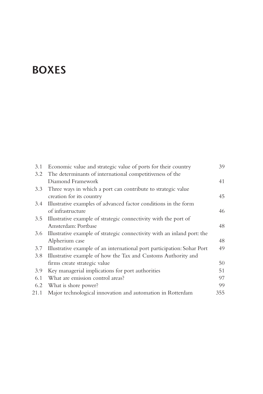## **Boxes**

| 3.1  | Economic value and strategic value of ports for their country           | 39  |
|------|-------------------------------------------------------------------------|-----|
| 3.2  | The determinants of international competitiveness of the                |     |
|      | Diamond Framework                                                       | 41  |
| 3.3  | Three ways in which a port can contribute to strategic value            |     |
|      | creation for its country                                                | 45  |
| 3.4  | Illustrative examples of advanced factor conditions in the form         |     |
|      | of infrastructure                                                       | 46  |
| 3.5  | Illustrative example of strategic connectivity with the port of         |     |
|      | Amsterdam: Portbase                                                     | 48  |
| 3.6  | Illustrative example of strategic connectivity with an inland port: the |     |
|      | Alpherium case                                                          | 48  |
| 3.7  | Illustrative example of an international port participation: Sohar Port | 49  |
| 3.8  | Illustrative example of how the Tax and Customs Authority and           |     |
|      | firms create strategic value                                            | 50  |
| 3.9  | Key managerial implications for port authorities                        | 51  |
| 6.1  | What are emission control areas?                                        | 97  |
| 6.2  | What is shore power?                                                    | 99  |
| 21.1 | Major technological innovation and automation in Rotterdam              | 355 |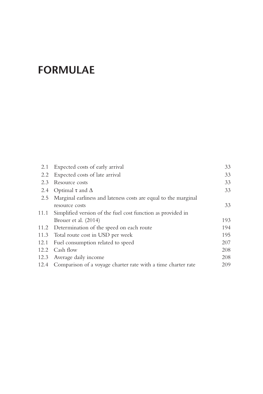## **Formulae**

| 2.1  | Expected costs of early arrival                                   | 33  |
|------|-------------------------------------------------------------------|-----|
| 2.2  | Expected costs of late arrival                                    | 33  |
| 2.3  | Resource costs                                                    | 33  |
| 2.4  | Optimal $\tau$ and $\Delta$                                       | 33  |
| 2.5  | Marginal earliness and lateness costs are equal to the marginal   |     |
|      | resource costs                                                    | 33  |
| 11.1 | Simplified version of the fuel cost function as provided in       |     |
|      | Brouer et al. (2014)                                              | 193 |
|      | 11.2 Determination of the speed on each route                     | 194 |
|      | 11.3 Total route cost in USD per week                             | 195 |
|      | 12.1 Fuel consumption related to speed                            | 207 |
| 12.2 | Cash flow                                                         | 208 |
|      | 12.3 Average daily income                                         | 208 |
|      | 12.4 Comparison of a voyage charter rate with a time charter rate | 209 |
|      |                                                                   |     |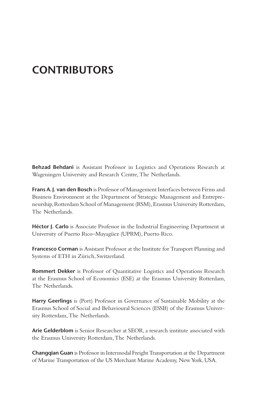## **Contributors**

**Behzad Behdani** is Assistant Professor in Logistics and Operations Research at Wageningen University and Research Centre, The Netherlands.

**Frans A.J. van den Bosch** is Professor of Management Interfaces between Firms and Business Environment at the Department of Strategic Management and Entrepreneurship, Rotterdam School of Management (RSM), Erasmus University Rotterdam, The Netherlands.

**Héctor J. Carlo** is Associate Professor in the Industrial Engineering Department at University of Puerto Rico–Mayagüez (UPRM), Puerto Rico.

**Francesco Corman** is Assistant Professor at the Institute for Transport Planning and Systems of ETH in Zürich, Switzerland.

**Rommert Dekker** is Professor of Quantitative Logistics and Operations Research at the Erasmus School of Economics (ESE) at the Erasmus University Rotterdam, The Netherlands.

**Harry Geerlings** is (Port) Professor in Governance of Sustainable Mobility at the Erasmus School of Social and Behavioural Sciences (ESSB) of the Erasmus University Rotterdam, The Netherlands.

**Arie Gelderblom** is Senior Researcher at SEOR, a research institute associated with the Erasmus University Rotterdam, The Netherlands.

**Changqian Guan** is Professor in Intermodal Freight Transportation at the Department of Marine Transportation of the US Merchant Marine Academy, New York, USA.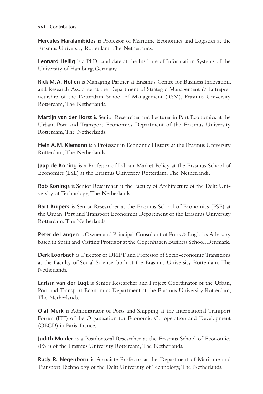#### **xvi** Contributors

**Hercules Haralambides** is Professor of Maritime Economics and Logistics at the Erasmus University Rotterdam, The Netherlands.

**Leonard Heilig** is a PhD candidate at the Institute of Information Systems of the University of Hamburg, Germany.

**Rick M. A. Hollen** is Managing Partner at Erasmus Centre for Business Innovation, and Research Associate at the Department of Strategic Management & Entrepreneurship of the Rotterdam School of Management (RSM), Erasmus University Rotterdam, The Netherlands.

**Martijn van der Horst** is Senior Researcher and Lecturer in Port Economics at the Urban, Port and Transport Economics Department of the Erasmus University Rotterdam, The Netherlands.

**Hein A. M. Klemann** is a Professor in Economic History at the Erasmus University Rotterdam, The Netherlands.

**Jaap de Koning** is a Professor of Labour Market Policy at the Erasmus School of Economics (ESE) at the Erasmus University Rotterdam, The Netherlands.

**Rob Konings** is Senior Researcher at the Faculty of Architecture of the Delft University of Technology, The Netherlands.

**Bart Kuipers** is Senior Researcher at the Erasmus School of Economics (ESE) at the Urban, Port and Transport Economics Department of the Erasmus University Rotterdam, The Netherlands.

**Peter de Langen** is Owner and Principal Consultant of Ports & Logistics Advisory based in Spain and Visiting Professor at the Copenhagen Business School, Denmark.

**Derk Loorbach** is Director of DRIFT and Professor of Socio-economic Transitions at the Faculty of Social Science, both at the Erasmus University Rotterdam, The Netherlands.

**Larissa van der Lugt** is Senior Researcher and Project Coordinator of the Urban, Port and Transport Economics Department at the Erasmus University Rotterdam, The Netherlands.

**Olaf Merk** is Administrator of Ports and Shipping at the International Transport Forum (ITF) of the Organisation for Economic Co-operation and Development (OECD) in Paris, France.

**Judith Mulder** is a Postdoctoral Researcher at the Erasmus School of Economics (ESE) of the Erasmus University Rotterdam, The Netherlands.

**Rudy R. Negenborn** is Associate Professor at the Department of Maritime and Transport Technology of the Delft University of Technology, The Netherlands.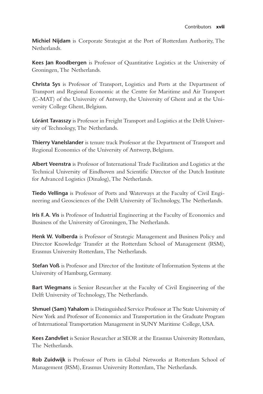**Michiel Nijdam** is Corporate Strategist at the Port of Rotterdam Authority, The Netherlands.

**Kees Jan Roodbergen** is Professor of Quantitative Logistics at the University of Groningen, The Netherlands.

**Christa Sys** is Professor of Transport, Logistics and Ports at the Department of Transport and Regional Economic at the Centre for Maritime and Air Transport (C-MAT) of the University of Antwerp, the University of Ghent and at the University College Ghent, Belgium.

**Lóránt Tavasszy** is Professor in Freight Transport and Logistics at the Delft University of Technology, The Netherlands.

**Thierry Vanelslander** is tenure track Professor at the Department of Transport and Regional Economics of the University of Antwerp, Belgium.

**Albert Veenstra** is Professor of International Trade Facilitation and Logistics at the Technical University of Eindhoven and Scientific Director of the Dutch Institute for Advanced Logistics (Dinalog), The Netherlands.

**Tiedo Vellinga** is Professor of Ports and Waterways at the Faculty of Civil Engineering and Geosciences of the Delft University of Technology, The Netherlands.

**Iris F. A. Vis** is Professor of Industrial Engineering at the Faculty of Economics and Business of the University of Groningen, The Netherlands.

**Henk W. Volberda** is Professor of Strategic Management and Business Policy and Director Knowledge Transfer at the Rotterdam School of Management (RSM), Erasmus University Rotterdam, The Netherlands.

**Stefan Voß** is Professor and Director of the Institute of Information Systems at the University of Hamburg, Germany.

**Bart Wiegmans** is Senior Researcher at the Faculty of Civil Engineering of the Delft University of Technology, The Netherlands.

**Shmuel (Sam) Yahalom** is Distinguished Service Professor at The State University of New York and Professor of Economics and Transportation in the Graduate Program of International Transportation Management in SUNY Maritime College, USA.

**Kees Zandvliet** is Senior Researcher at SEOR at the Erasmus University Rotterdam, The Netherlands.

**Rob Zuidwijk** is Professor of Ports in Global Networks at Rotterdam School of Management (RSM), Erasmus University Rotterdam, The Netherlands.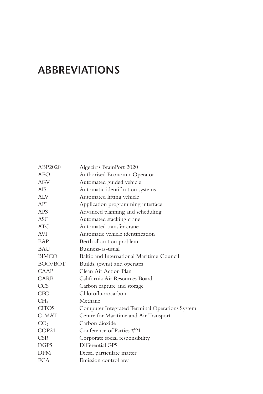## **Abbreviations**

| ABP2020         | Algeciras BrainPort 2020                       |
|-----------------|------------------------------------------------|
| <b>AEO</b>      | Authorised Economic Operator                   |
| AGV             | Automated guided vehicle                       |
| <b>AIS</b>      | Automatic identification systems               |
| ALV             | Automated lifting vehicle                      |
| API             | Application programming interface              |
| <b>APS</b>      | Advanced planning and scheduling               |
| ASC             | Automated stacking crane                       |
| <b>ATC</b>      | Automated transfer crane                       |
| <b>AVI</b>      | Automatic vehicle identification               |
| <b>BAP</b>      | Berth allocation problem                       |
| BAU             | Business-as-usual                              |
| <b>BIMCO</b>    | Baltic and International Maritime Council      |
| BOO/BOT         | Builds, (owns) and operates                    |
| CAAP            | Clean Air Action Plan                          |
| CARB            | California Air Resources Board                 |
| <b>CCS</b>      | Carbon capture and storage                     |
| <b>CFC</b>      | Chlorofluorocarbon                             |
| CH <sub>4</sub> | Methane                                        |
| <b>CITOS</b>    | Computer Integrated Terminal Operations System |
| $C-MAT$         | Centre for Maritime and Air Transport          |
| CO <sub>2</sub> | Carbon dioxide                                 |
| COP21           | Conference of Parties #21                      |
| <b>CSR</b>      | Corporate social responsibility                |
| <b>DGPS</b>     | Differential GPS                               |
| <b>DPM</b>      | Diesel particulate matter                      |
| <b>ECA</b>      | Emission control area                          |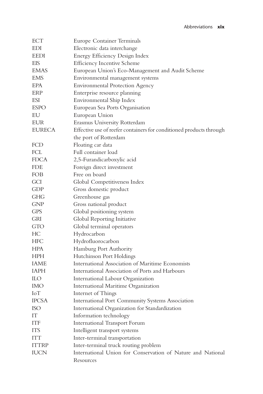| ECT          | Europe Container Terminals                                          |
|--------------|---------------------------------------------------------------------|
| EDI          | Electronic data interchange                                         |
| EEDI         | Energy Efficiency Design Index                                      |
| EIS          | Efficiency Incentive Scheme                                         |
| <b>EMAS</b>  | European Union's Eco-Management and Audit Scheme                    |
| EMS          | Environmental management systems                                    |
| EPA          | <b>Environmental Protection Agency</b>                              |
| ERP          | Enterprise resource planning                                        |
| ESI          | Environmental Ship Index                                            |
| <b>ESPO</b>  | European Sea Ports Organisation                                     |
| EU           | European Union                                                      |
| EUR          | Erasmus University Rotterdam                                        |
| EURECA       | Effective use of reefer containers for conditioned products through |
|              | the port of Rotterdam                                               |
| FCD          | Floating car data                                                   |
| FCL          | Full container load                                                 |
| <b>FDCA</b>  | 2,5-Furandicarboxylic acid                                          |
| <b>FDE</b>   | Foreign direct investment                                           |
| <b>FOB</b>   | Free on board                                                       |
| GCI          | Global Competitiveness Index                                        |
| <b>GDP</b>   | Gross domestic product                                              |
| <b>GHG</b>   | Greenhouse gas                                                      |
| <b>GNP</b>   | Gross national product                                              |
| <b>GPS</b>   | Global positioning system                                           |
| GRI          | Global Reporting Initiative                                         |
| GTO          | Global terminal operators                                           |
| HС           | Hydrocarbon                                                         |
| <b>HFC</b>   | Hydrofluorocarbon                                                   |
| HPA          | Hamburg Port Authority                                              |
| <b>HPH</b>   | Hutchinson Port Holdings                                            |
| <b>IAME</b>  | International Association of Maritime Economists                    |
| <b>IAPH</b>  | International Association of Ports and Harbours                     |
| ILО          | International Labour Organization                                   |
| <b>IMO</b>   | International Maritime Organization                                 |
| IоT          | Internet of Things                                                  |
| IPCSA        | International Port Community Systems Association                    |
| <b>ISO</b>   | International Organization for Standardization                      |
| IT           | Information technology                                              |
| <b>ITF</b>   | International Transport Forum                                       |
| <b>ITS</b>   | Intelligent transport systems                                       |
| <b>ITT</b>   | Inter-terminal transportation                                       |
| <b>ITTRP</b> | Inter-terminal truck routing problem                                |
| <b>IUCN</b>  | International Union for Conservation of Nature and National         |
|              | Resources                                                           |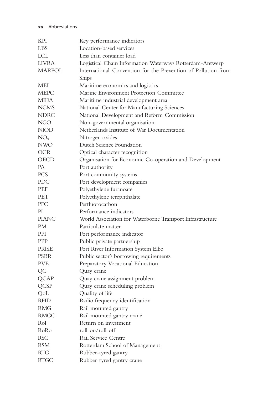| KPI           | Key performance indicators                                    |
|---------------|---------------------------------------------------------------|
| LBS           | Location-based services                                       |
| <b>LCL</b>    | Less than container load                                      |
| <b>LIVRA</b>  | Logistical Chain Information Waterways Rotterdam-Antwerp      |
| <b>MARPOL</b> | International Convention for the Prevention of Pollution from |
|               | Ships                                                         |
| <b>MEL</b>    | Maritime economics and logistics                              |
| <b>MEPC</b>   | Marine Environment Protection Committee                       |
| <b>MIDA</b>   | Maritime industrial development area                          |
| <b>NCMS</b>   | National Center for Manufacturing Sciences                    |
| <b>NDRC</b>   | National Development and Reform Commission                    |
| NGO           | Non-governmental organisation                                 |
| <b>NIOD</b>   | Netherlands Institute of War Documentation                    |
| $NO_{x}$      | Nitrogen oxides                                               |
| <b>NWO</b>    | Dutch Science Foundation                                      |
| <b>OCR</b>    | Optical character recognition                                 |
| OECD          | Organisation for Economic Co-operation and Development        |
| РA            | Port authority                                                |
| PCS           | Port community systems                                        |
| <b>PDC</b>    | Port development companies                                    |
| PEF           | Polyethylene furanoate                                        |
| PET           | Polyethylene terephthalate                                    |
| PFC           | Perfluorocarbon                                               |
| РI            | Performance indicators                                        |
| <b>PIANC</b>  | World Association for Waterborne Transport Infrastructure     |
| PM            | Particulate matter                                            |
| <b>PPI</b>    | Port performance indicator                                    |
| <b>PPP</b>    | Public private partnership                                    |
| <b>PRISE</b>  | Port River Information System Elbe                            |
| PSBR          | Public sector's borrowing requirements                        |
| <b>PVE</b>    | Preparatory Vocational Education                              |
| QC            | Quay crane                                                    |
| <b>QCAP</b>   | Quay crane assignment problem                                 |
| <b>QCSP</b>   | Quay crane scheduling problem                                 |
| QoL           | Quality of life                                               |
| <b>RFID</b>   | Radio frequency identification                                |
| <b>RMG</b>    | Rail mounted gantry                                           |
| <b>RMGC</b>   | Rail mounted gantry crane                                     |
| RoI           | Return on investment                                          |
| RoRo          | roll-on/roll-off                                              |
| <b>RSC</b>    | Rail Service Centre                                           |
| <b>RSM</b>    | Rotterdam School of Management                                |
| <b>RTG</b>    | Rubber-tyred gantry                                           |
| <b>RTGC</b>   | Rubber-tyred gantry crane                                     |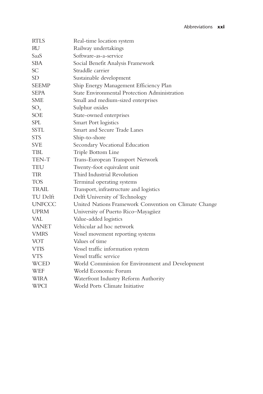| <b>RTLS</b>   | Real-time location system                             |
|---------------|-------------------------------------------------------|
| RU            | Railway undertakings                                  |
| SaaS          | Software-as-a-service                                 |
| <b>SBA</b>    | Social Benefit Analysis Framework                     |
| <b>SC</b>     | Straddle carrier                                      |
| <b>SD</b>     | Sustainable development                               |
| <b>SEEMP</b>  | Ship Energy Management Efficiency Plan                |
| <b>SEPA</b>   | State Environmental Protection Administration         |
| <b>SME</b>    | Small and medium-sized enterprises                    |
| $SO_{x}$      | Sulphur oxides                                        |
| <b>SOE</b>    | State-owned enterprises                               |
| <b>SPL</b>    | Smart Port logistics                                  |
| <b>SSTL</b>   | Smart and Secure Trade Lanes                          |
| <b>STS</b>    | Ship-to-shore                                         |
| <b>SVE</b>    | Secondary Vocational Education                        |
| <b>TBL</b>    | Triple Bottom Line                                    |
| TEN-T         | Trans-European Transport Network                      |
| TEU           | Twenty-foot equivalent unit                           |
| <b>TIR</b>    | Third Industrial Revolution                           |
| <b>TOS</b>    | Terminal operating systems                            |
| <b>TRAIL</b>  | Transport, infrastructure and logistics               |
| TU Delft      | Delft University of Technology                        |
| <b>UNFCCC</b> | United Nations Framework Convention on Climate Change |
| <b>UPRM</b>   | University of Puerto Rico-Mayagüez                    |
| VAL           | Value-added logistics                                 |
| <b>VANET</b>  | Vehicular ad hoc network                              |
| <b>VMRS</b>   | Vessel movement reporting systems                     |
| <b>VOT</b>    | Values of time                                        |
| <b>VTIS</b>   | Vessel traffic information system                     |
| <b>VTS</b>    | Vessel traffic service                                |
| <b>WCED</b>   | World Commission for Environment and Development      |
| WEF           | World Economic Forum                                  |
| <b>WIRA</b>   | Waterfront Industry Reform Authority                  |
| <b>WPCI</b>   | World Ports Climate Initiative                        |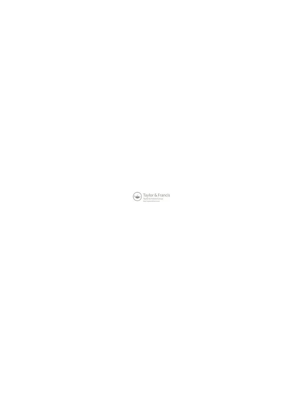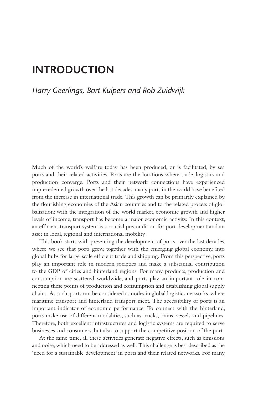## **Introduction**

#### *Harry Geerlings, Bart Kuipers and Rob Zuidwijk*

Much of the world's welfare today has been produced, or is facilitated, by sea ports and their related activities. Ports are the locations where trade, logistics and production converge. Ports and their network connections have experienced unprecedented growth over the last decades: many ports in the world have benefited from the increase in international trade. This growth can be primarily explained by the flourishing economies of the Asian countries and to the related process of globalisation; with the integration of the world market, economic growth and higher levels of income, transport has become a major economic activity. In this context, an efficient transport system is a crucial precondition for port development and an asset in local, regional and international mobility.

This book starts with presenting the development of ports over the last decades, where we see that ports grew, together with the emerging global economy, into global hubs for large-scale efficient trade and shipping. From this perspective, ports play an important role in modern societies and make a substantial contribution to the GDP of cities and hinterland regions. For many products, production and consumption are scattered worldwide, and ports play an important role in connecting these points of production and consumption and establishing global supply chains. As such, ports can be considered as nodes in global logistics networks, where maritime transport and hinterland transport meet. The accessibility of ports is an important indicator of economic performance. To connect with the hinterland, ports make use of different modalities, such as trucks, trains, vessels and pipelines. Therefore, both excellent infrastructures and logistic systems are required to serve businesses and consumers, but also to support the competitive position of the port.

At the same time, all these activities generate negative effects, such as emissions and noise, which need to be addressed as well. This challenge is best described as the 'need for a sustainable development' in ports and their related networks. For many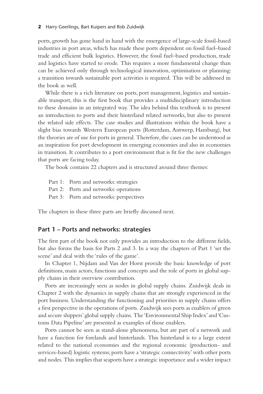#### **2** Harry Geerlings, Bart Kuipers and Rob Zuidwijk

ports, growth has gone hand in hand with the emergence of large-scale fossil-based industries in port areas, which has made these ports dependent on fossil fuel–based trade and efficient bulk logistics. However, the fossil fuel–based production, trade and logistics have started to erode. This requires a more fundamental change than can be achieved only through technological innovation, optimisation or planning: a transition towards sustainable port activities is required. This will be addressed in the book as well.

While there is a rich literature on ports, port management, logistics and sustainable transport, this is the first book that provides a multidisciplinary introduction to these domains in an integrated way. The idea behind this textbook is to present an introduction to ports and their hinterland related networks, but also to present the related side effects. The case studies and illustrations within the book have a slight bias towards Western European ports (Rotterdam, Antwerp, Hamburg), but the theories are of use for ports in general. Therefore, the cases can be understood as an inspiration for port development in emerging economies and also in economies in transition. It contributes to a port environment that is fit for the new challenges that ports are facing today.

The book contains 22 chapters and is structured around three themes:

- Part 1: Ports and networks: strategies
- Part 2: Ports and networks: operations
- Part 3: Ports and networks: perspectives

The chapters in these three parts are briefly discussed next.

#### **Part 1 – Ports and networks: strategies**

The first part of the book not only provides an introduction to the different fields, but also forms the basis for Parts 2 and 3. In a way the chapters of Part 1 'set the scene' and deal with the 'rules of the game'.

In Chapter 1, Nijdam and Van der Horst provide the basic knowledge of port definitions, main actors, functions and concepts and the role of ports in global supply chains in their overview contribution.

Ports are increasingly seen as nodes in global supply chains. Zuidwijk deals in Chapter 2 with the dynamics in supply chains that are strongly experienced in the port business. Understanding the functioning and priorities in supply chains offers a first perspective in the operations of ports. Zuidwijk sees ports as enablers of green and secure shippers' global supply chains. The 'Environmental Ship Index' and 'Customs Data Pipeline' are presented as examples of those enablers.

Ports cannot be seen as stand-alone phenomena, but are part of a network and have a function for forelands and hinterlands. This hinterland is to a large extent related to the national economies and the regional economic (production- and services-based) logistic systems; ports have a 'strategic connectivity' with other ports and nodes. This implies that seaports have a strategic importance and a wider impact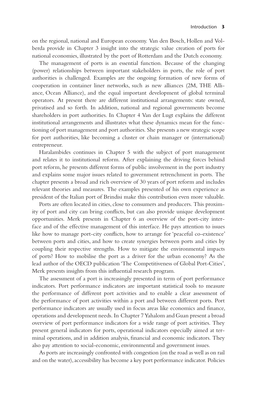on the regional, national and European economy. Van den Bosch, Hollen and Volberda provide in Chapter 3 insight into the strategic value creation of ports for national economies, illustrated by the port of Rotterdam and the Dutch economy.

The management of ports is an essential function. Because of the changing (power) relationships between important stakeholders in ports, the role of port authorities is challenged. Examples are the ongoing formation of new forms of cooperation in container liner networks, such as new alliances (2M, THE Alliance, Ocean Alliance), and the equal important development of global terminal operators. At present there are different institutional arrangements: state owned, privatised and so forth. In addition, national and regional governments become shareholders in port authorities. In Chapter 4 Van der Lugt explains the different institutional arrangements and illustrates what these dynamics mean for the functioning of port management and port authorities. She presents a new strategic scope for port authorities, like becoming a cluster or chain manager or (international) entrepreneur.

Haralambides continues in Chapter 5 with the subject of port management and relates it to institutional reform. After explaining the driving forces behind port reform, he presents different forms of public involvement in the port industry and explains some major issues related to government retrenchment in ports. The chapter presents a broad and rich overview of 30 years of port reform and includes relevant theories and measures. The examples presented of his own experience as president of the Italian port of Brindisi make this contribution even more valuable.

Ports are often located in cities, close to consumers and producers. This proximity of port and city can bring conflicts, but can also provide unique development opportunities. Merk presents in Chapter 6 an overview of the port-city interface and of the effective management of this interface. He pays attention to issues like how to manage port-city conflicts, how to arrange for 'peaceful co-existence' between ports and cities, and how to create synergies between ports and cities by coupling their respective strengths. How to mitigate the environmental impacts of ports? How to mobilise the port as a driver for the urban economy? As the lead author of the OECD publication 'The Competitiveness of Global Port-Cities', Merk presents insights from this influential research program.

The assessment of a port is increasingly presented in term of port performance indicators. Port performance indicators are important statistical tools to measure the performance of different port activities and to enable a clear assessment of the performance of port activities within a port and between different ports. Port performance indicators are usually used in focus areas like economics and finance, operations and development needs. In Chapter 7 Yahalom and Guan present a broad overview of port performance indicators for a wide range of port activities. They present general indicators for ports, operational indicators especially aimed at terminal operations, and in addition analysis, financial and economic indicators. They also pay attention to social-economic, environmental and government issues.

As ports are increasingly confronted with congestion (on the road as well as on rail and on the water), accessibility has become a key port performance indicator. Policies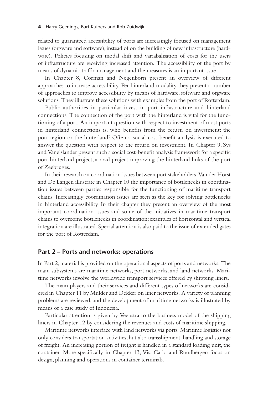related to guaranteed accessibility of ports are increasingly focused on management issues (orgware and software), instead of on the building of new infrastructure (hardware). Policies focusing on modal shift and variabalisation of costs for the users of infrastructure are receiving increased attention. The accessibility of the port by means of dynamic traffic management and the measures is an important issue.

In Chapter 8, Corman and Negenborn present an overview of different approaches to increase accessibility. Per hinterland modality they present a number of approaches to improve accessibility by means of hardware, software and orgware solutions. They illustrate these solutions with examples from the port of Rotterdam.

Public authorities in particular invest in port infrastructure and hinterland connections. The connection of the port with the hinterland is vital for the functioning of a port. An important question with respect to investment of most ports in hinterland connections is, who benefits from the return on investment: the port region or the hinterland? Often a social cost-benefit analysis is executed to answer the question with respect to the return on investment. In Chapter 9, Sys and Vanelslander present such a social cost-benefit analysis framework for a specific port hinterland project, a road project improving the hinterland links of the port of Zeebruges.

In their research on coordination issues between port stakeholders, Van der Horst and De Langen illustrate in Chapter 10 the importance of bottlenecks in coordination issues between parties responsible for the functioning of maritime transport chains. Increasingly coordination issues are seen as the key for solving bottlenecks in hinterland accessibility. In their chapter they present an overview of the most important coordination issues and some of the initiatives in maritime transport chains to overcome bottlenecks in coordination; examples of horizontal and vertical integration are illustrated. Special attention is also paid to the issue of extended gates for the port of Rotterdam.

#### **Part 2 – Ports and networks: operations**

In Part 2, material is provided on the operational aspects of ports and networks. The main subsystems are maritime networks, port networks, and land networks. Maritime networks involve the worldwide transport services offered by shipping liners.

The main players and their services and different types of networks are considered in Chapter 11 by Mulder and Dekker on liner networks. A variety of planning problems are reviewed, and the development of maritime networks is illustrated by means of a case study of Indonesia.

Particular attention is given by Veenstra to the business model of the shipping liners in Chapter 12 by considering the revenues and costs of maritime shipping.

Maritime networks interface with land networks via ports. Maritime logistics not only considers transportation activities, but also transshipment, handling and storage of freight. An increasing portion of freight is handled in a standard loading unit, the container. More specifically, in Chapter 13, Vis, Carlo and Roodbergen focus on design, planning and operations in container terminals.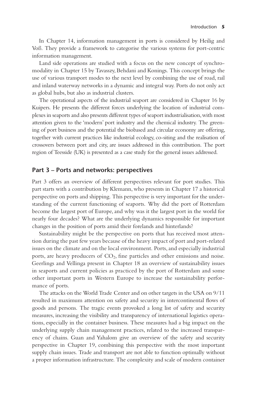In Chapter 14, information management in ports is considered by Heilig and Voß. They provide a framework to categorise the various systems for port-centric information management.

Land side operations are studied with a focus on the new concept of synchromodality in Chapter 15 by Tavasszy, Behdani and Konings. This concept brings the use of various transport modes to the next level by combining the use of road, rail and inland waterway networks in a dynamic and integral way. Ports do not only act as global hubs, but also as industrial clusters.

The operational aspects of the industrial seaport are considered in Chapter 16 by Kuipers. He presents the different forces underlying the location of industrial complexes in seaports and also presents different types of seaport industrialisation, with most attention given to the 'modern' port industry and the chemical industry. The greening of port business and the potential the biobased and circular economy are offering, together with current practices like industrial ecology, co-siting and the realisation of crossovers between port and city, are issues addressed in this contribution. The port region of Teesside (UK) is presented as a case study for the general issues addressed.

#### **Part 3 – Ports and networks: perspectives**

Part 3 offers an overview of different perspectives relevant for port studies. This part starts with a contribution by Klemann, who presents in Chapter 17 a historical perspective on ports and shipping. This perspective is very important for the understanding of the current functioning of seaports. Why did the port of Rotterdam become the largest port of Europe, and why was it the largest port in the world for nearly four decades? What are the underlying dynamics responsible for important changes in the position of ports amid their forelands and hinterlands?

Sustainability might be the perspective on ports that has received most attention during the past few years because of the heavy impact of port and port-related issues on the climate and on the local environment. Ports, and especially industrial ports, are heavy producers of  $CO<sub>2</sub>$ , fine particles and other emissions and noise. Geerlings and Vellinga present in Chapter 18 an overview of sustainability issues in seaports and current policies as practiced by the port of Rotterdam and some other important ports in Western Europe to increase the sustainability performance of ports.

The attacks on the World Trade Center and on other targets in the USA on 9/11 resulted in maximum attention on safety and security in intercontinental flows of goods and persons. The tragic events provoked a long list of safety and security measures, increasing the visibility and transparency of international logistics operations, especially in the container business. These measures had a big impact on the underlying supply chain management practices, related to the increased transparency of chains. Guan and Yahalom give an overview of the safety and security perspective in Chapter 19, combining this perspective with the most important supply chain issues. Trade and transport are not able to function optimally without a proper information infrastructure. The complexity and scale of modern container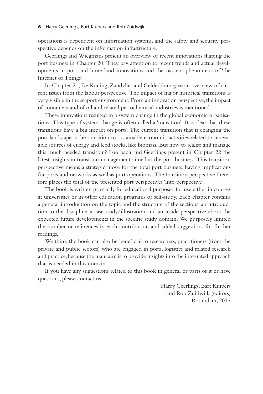operations is dependent on information systems, and the safety and security perspective depends on the information infrastructure.

Geerlings and Wiegmans present an overview of recent innovations shaping the port business in Chapter 20. They pay attention to recent trends and actual developments in port and hinterland innovations and the nascent phenomena of 'the Internet of Things'.

In Chapter 21, De Koning, Zandvliet and Gelderblom give an overview of current issues from the labour perspective. The impact of major historical transitions is very visible in the seaport environment. From an innovation perspective, the impact of containers and of oil and related petrochemical industries is mentioned.

These innovations resulted in a system change in the global economic organisations. This type of system change is often called a 'transition'. It is clear that these transitions have a big impact on ports. The current transition that is changing the port landscape is the transition to sustainable economic activities related to renewable sources of energy and feed stocks, like biomass. But how to realise and manage this much-needed transition? Loorbach and Geerlings present in Chapter 22 the latest insights in transition management aimed at the port business. This transition perspective means a strategic move for the total port business, having implications for ports and networks as well as port operations. The transition perspective therefore places the total of the presented port perspectives 'into perspective'.

The book is written primarily for educational purposes, for use either in courses at universities or in other education programs or self-study. Each chapter contains a general introduction on the topic and the structure of the sections, an introduction to the discipline, a case study/illustration and an inside perspective about the expected future developments in the specific study domain. We purposely limited the number or references in each contribution and added suggestions for further readings.

We think the book can also be beneficial to researchers, practitioners (from the private and public sectors) who are engaged in ports, logistics and related research and practice, because the main aim is to provide insights into the integrated approach that is needed in this domain.

If you have any suggestions related to this book in general or parts of it or have questions, please contact us.

> Harry Geerlings, Bart Kuipers and Rob Zuidwijk (editors) Rotterdam, 2017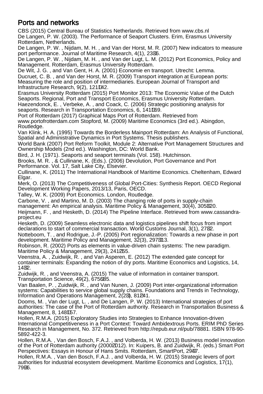#### Ports and networks

CBS (2015) Central Bureau of Statistics Netherlands. Retrieved from www.cbs.nl De Langen, P. W. (2003). The Performance of Seaport Clusters. Erim, Erasmus University Rotterdam, Netherlands.

De Langen, P. W. , Nijdam, M. H. , and Van der Horst, M. R. (2007) New indicators to measure port performance. Journal of Maritime Research, 4(1), 2336.

De Langen, P. W. , Nijdam, M. H. , and Van der Lugt, L. M. (2012) Port Economics, Policy and Management. Rotterdam, Erasmus University Rotterdam.

De Wit, J. G. , and Van Gent, H. A. (2001) Economie en transport. Utrecht: Lemma. Ducruet, C. B. , and Van der Horst, M. R. (2009) Transport integration at European ports: Measuring the role and position of intermediaries. European Journal of Transport and Infrastructure Research, 9(2), 121142.

Erasmus University Rotterdam (2015) Port Monitor 2013: The Economic Value of the Dutch Seaports. Regional, Port and Transport Economics, Erasmus University Rotterdam.

Haezendonck, E. , Verbeke, A. , and Coack, C. (2006) Strategic positioning analysis for seaports. Research in Transportation Economics, 6, 141169.

Port of Rotterdam (2017) Graphical Maps Port of Rotterdam. Retrieved from www.portofrotterdam.com Stopford, M. (2009) Maritime Economics (3rd ed.). Abingdon, Routledge.

Van Klink, H. A. (1995) Towards the Borderless Mainport Rotterdam: An Analysis of Functional, Spatial and Administrative Dynamics in Port Systems. Thesis publishers.

World Bank (2007) Port Reform Toolkit, Module 2: Alternative Port Management Structures and Ownership Models (2nd ed.). Washington, DC: World Bank.

Bird, J. H. (1971). Seaports and seaport terminals (Vol. 158). Hutchinson.

Brooks, M. R. , & Cullinane, K. (Eds.). (2006) Devolution, Port Governance and Port Performance. Vol. 17, Salt Lake City, Elsevier.

Cullinane, K. (2011) The International Handbook of Maritime Economics. Cheltenham, Edward Elgar.

Merk, O. (2013) The Competitiveness of Global Port-Cities: Synthesis Report. OECD Regional Development Working Papers, 2013/13, Paris, OECD.

Talley, W. K. (2009) Port Economics. London, Routledge.

Carbone, V. , and Martino, M. D. (2003) The changing role of ports in supply-chain management: An empirical analysis. Maritime Policy & Management, 30(4), 305320.

Heijmann, F. , and Hesketh, D. (2014) The Pipeline Interface. Retrieved from www.cassandraproject.eu

Hesketh, D. (2009) Seamless electronic data and logistics pipelines shift focus from import declarations to start of commercial transaction. World Customs Journal, 3(1), 27â32.

Notteboom, T. , and Rodrigue, J.-P. (2005) Port regionalization: Towards a new phase in port development. Maritime Policy and Management, 32(3), 297313.

Robinson, R. (2002) Ports as elements in value-driven chain systems: The new paradigm. Maritime Policy & Management, 29(3), 241255.

Veenstra, A. , Zuidwijk, R. , and Van Asperen, E. (2012) The extended gate concept for container terminals: Expanding the notion of dry ports. Maritime Economics and Logistics, 14, 14â32.

Zuidwijk, R. , and Veenstra, A. (2015) The value of information in container transport. Transportation Science, 49(2), 675685.

Van Baalen, P. , Zuidwijk, R. , and Van Nunen, J. (2009) Port inter-organizational information systems: Capabilities to service global supply chains. Foundations and Trends in Technology, Information and Operations Management, 2(23), 81241.

Dooms, M. , Van der Lugt, L. , and De Langen, P. W. (2013) International strategies of port authorities: The case of the Port of Rotterdam authority. Research in Transportation Business & Management, 8, 148157.

Hollen, R.M.A. (2015) Exploratory Studies into Strategies to Enhance Innovation-driven International Competitiveness in a Port Context: Toward Ambidextrous Ports. ERIM PhD Series Research in Management, No. 372. Retrieved from http://repub.eur.nl/pub/78881. ISBN 978-90- 5892-422-3.

Hollen, R.M.A. , Van den Bosch, F.A.J. , and Volberda, H. W. (2013) Business model innovation of the Port of Rotterdam authority (20002012). In: Kuipers, B. and Zuidwijk, R. (eds.) Smart Port Perspectives: Essays in Honour of Hans Smits. Rotterdam, SmartPort, 2947.

Hollen, R.M.A. , Van den Bosch, F.A.J. , and Volberda, H. W. (2015) Strategic levers of port authorities for industrial ecosystem development. Maritime Economics and Logistics, 17(1), 7996.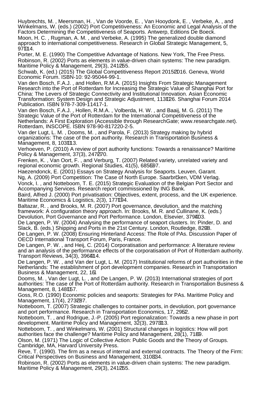Huybrechts, M. , Meersman, H. , Van de Voorde, E. , Van Hooydonk, E. , Verbeke, A. , and Winkelmans, W. (eds.) (2002) Port Competitiveness: An Economic and Legal Analysis of the Factors Determining the Competitiveness of Seaports. Antwerp, Editions De Boeck. Moon, H. C. , Rugman, A. M. , and Verbeke, A. (1995) The generalized double diamond approach to international competitiveness. Research in Global Strategic Management, 5, 97â114.

Porter, M. E. (1990) The Competitive Advantage of Nations. New York, The Free Press. Robinson, R. (2002) Ports as elements in value-driven chain systems: The new paradigm. Maritime Policy & Management, 29(3), 241255.

Schwab, K. (ed.) (2015) The Global Competitiveness Report 20152016. Geneva, World Economic Forum. ISBN-10: 92-95044-99-1.

Van den Bosch, F.A.J. , and Hollen, R.M.A. (2015) Insights From Strategic Management Research into the Port of Rotterdam for Increasing the Strategic Value of Shanghai Port for China: The Levers of Strategic Connectivity and Institutional Innovation. Asian Economic Transformation: System Design and Strategic Adjustment, 113â126. Shanghai Forum 2014 Publication. ISBN 978-7-309-11417-1.

Van den Bosch, F.A.J. , Hollen, R.M.A. , Volberda, H. W. , and Baaij, M. G. (2011) The Strategic Value of the Port of Rotterdam for the International Competitiveness of the Netherlands: A First Exploration (Accessible through ResearchGate; www.researchgate.net). Rotterdam, INSCOPE. ISBN 978-90-817220-2-5.

Van der Lugt, L. M. , Dooms, M. , and Parola, F. (2013) Strategy making by hybrid organizations: The case of the port authority. Research in Transportation Business & Management, 8, 103113.

Verhoeven, P. (2010) A review of port authority functions: Towards a renaissance? Maritime Policy & Management, 37(3), 247270.

Frenken, K. , Van Oort, F. , and Verburg, T. (2007) Related variety, unrelated variety and regional economic growth. Regional Studies, 41(5), 685697.

Haezendonck, E. (2001) Essays on Strategy Analysis for Seaports. Leuven, Garant. Ng, A. (2009) Port Competition: The Case of North Europe. Saarbrcken, VDM Verlag. Vonck, I. , and Notteboom, T. E. (2015) Strategic Evaluation of the Belgian Port Sector and Accompanying Services. Research report commissioned by ING Bank.

Baird, Alfred J. (2000) Port privatisation: Objectives, extent, process, and the UK experience. Maritime Economics & Logistics, 2(3), 177194.

Baltazar, R. , and Brooks, M. R. (2007) Port governance, devolution, and the matching framework: A configuration theory approach. In: Brooks, M. R. and Cullinane, K. (eds.) Devolution, Port Governance and Port Performance. London, Elsevier, 379403.

De Langen, P. W. (2004) Analysing the performance of seaport clusters. In: Pinder, D. and Slack, B. (eds.) Shipping and Ports in the 21st Century. London, Routledge, 8298.

De Langen, P. W. (2008) Ensuring Hinterland Access: The Role of PAs. Discussion Paper of OECD International Transport Forum, Paris, France.

De Langen, P. W. , and Heij, C. (2014) Corporatisation and performance: A literature review and an analysis of the performance effects of the corporatisation of Port of Rotterdam authority. Transport Reviews,  $34(3)$ ,  $396414$ .

De Langen, P. W. , and Van der Lugt, L. M. (2017) Institutional reforms of port authorities in the Netherlands: The establishment of port development companies. Research in Transportation Business & Management, 22, 16.

Dooms, M. , Van der Lugt, L. , and De Langen, P. W. (2013) International strategies of port authorities: The case of the Port of Rotterdam authority. Research in Transportation Business & Management, 8, 148157.

Goss, R.O. (1990) Economic policies and seaports: Strategies for PAs. Maritime Policy and Management, 17(4), 273287.

Notteboom, T. (2007) Strategic challenges to container ports, in devolution, port governance and port performance. Research in Transportation Economics, 17, 2952.

Notteboom, T. , and Rodrigue, J.-P. (2005) Port regionalization: Towards a new phase in port development. Maritime Policy and Management, 32(3), 297313.

Notteboom, T. , and Winkelmans, W. (2001) Structural changes in logistics: How will port authorities face the challenge? Maritime Policy and Management, 28(1), 7189.

Olson, M. (1971) The Logic of Collective Action: Public Goods and the Theory of Groups. Cambridge, MA, Harvard University Press.

Reve, T. (1990). The firm as a nexus of internal and external contracts. The Theory of the Firm: Critical Perspectives on Business and Management, 310â334.

Robinson, R. (2002) Ports as elements in value-driven chain systems: The new paradigm. Maritime Policy & Management, 29(3), 241255.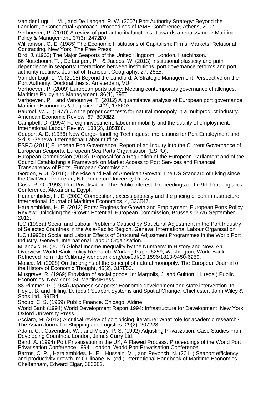Van der Lugt, L. M. , and De Langen, P. W. (2007) Port Authority Strategy: Beyond the Landlord, a Conceptual Approach. Proceedings of IAME Conference, Athens, 2007. Verhoeven, P. (2010) A review of port authority functions: Towards a renaissance? Maritime Policy & Management, 37(3), 247270.

Williamson, O. E. (1985) The Economic Institutions of Capitalism: Firms, Markets, Relational Contracting. New York, The Free Press.

Bird, J. (1963) The Major Seaports of the United Kingdom. London, Hutchinson.

66 Notteboom, T. , De Langen, P. , & Jacobs, W. (2013) Institutional plasticity and path dependence in seaports: Interactions between institutions, port governance reforms and port authority routines. Journal of Transport Geography, 27, 26â35.

Van der Lugt, L. M. (2015) Beyond the Landlord: A Strategic Management Perspective on the Port Authority. Doctoral thesis, Amsterdam, VU.

Verhoeven, P. (2009) European ports policy: Meeting contemporary governance challenges. Maritime Policy and Management, 36(1), 79101.

Verhoeven, P. , and Vanoutrive, T. (2012) A quantitative analysis of European port governance. Maritime Economics & Logistics,  $14(2)$ ,  $178203$ .

Baumol, W. J. (1977) On the proper cost tests for natural monopoly in a multiproduct industry. American Economic Review, 67, 809822.

Campbell, D. (1994) Foreign investment, labour immobility and the quality of employment. International Labour Review, 133(2), 185188.

Couper, A. D. (1986) New Cargo-Handling Techniques: Implications for Port Employment and Skills. Geneva, International Labour Office.

ESPO (2011) European Port Governance: Report of an Inquiry into the Current Governance of European Seaports. European Sea Ports Organisation (ESPO).

European Commission (2013). Proposal for a Regulation of the European Parliament and of the Council Establishing a Framework on Market Access to Port Services and Financial Transparency of Ports. European Commission.

Gordon, R. J. (2016). The Rise and Fall of American Growth: The US Standard of Living since the Civil War. Princeton, NJ, Princeton University Press.

Goss, R. O. (1993) Port Privatisation: The Public Interest. Proceedings of the 9th Port Logistics Conference, Alexandria, Egypt.

Haralambides, H. E. (2002) Competition, excess capacity and the pricing of port infrastructure. International Journal of Maritime Economics, 4, 323347.

Haralambides, H. E. (2012) Ports: Engines for Growth and Employment. European Ports Policy Review: Unlocking the Growth Potential. European Commission, Brussels, 25â26 September 2012.

ILO (1995a) Social and Labour Problems Caused by Structural Adjustment in the Port Industry of Selected Countries in the Asia-Pacific Region. Geneva, International Labour Organisation. ILO (1995b) Social and Labour Effects of Structural Adjustment Programmes in the World Port Industry. Geneva, International Labour Organisation.

Milanovic, B. (2012) Global Income Inequality by the Numbers: In History and Now. An Overview. World Bank Policy Research, Working Paper 6259, Washington, World Bank. Retrieved from http://elibrary.worldbank.org/doi/pdf/10.1596/1813-9450-6259.

Mosca, M. (2008) On the origins of the concept of natural monopoly. The European Journal of the History of Economic Thought, 45(2), 317â353.

Musgrave, R. (1969) Provision of social goods. In: Margolis, J. and Guitton, H. (eds.) Public Economics. New York, St. Martins Press.

88 Rimmer, P. (1984) Japanese seaports: Economic development and state intervention. In: Hoyle, B. and Hilling, D. (eds.) Seaport Systems and Spatial Change. Chichester, John Wiley & Sons Ltd., 99134.

Shoup, C. S. (1969) Public Finance. Chicago, Aldine.

World Bank (1994) World Development Report 1994: Infrastructure for Development. New York, Oxford University Press.

Acciaro, M. (2013) A critical review of port pricing literature: What role for academic research? The Asian Journal of Shipping and Logistics, 29(2), 207228.

Adam, C. , Cavendish, W. , and Mistry, P. S. (1992) Adjusting Privatization: Case Studies From Developing Countries. London, James Curry Ltd.

Baird, A. (1994) Port Privatisation in the UK, A Flawed Process. Proceedings of the World Port Privatisation Conference 1994, London, World Port Privatisation Conference.

Barros, C. P. , Haralambides, H. E. , Hussain, M. , and Peypoch, N. (2011) Seaport efficiency and productivity growth In: Cullinane, K. (ed.) International Handbook of Maritime Economics. Cheltenham, Edward Elgar, 363â382.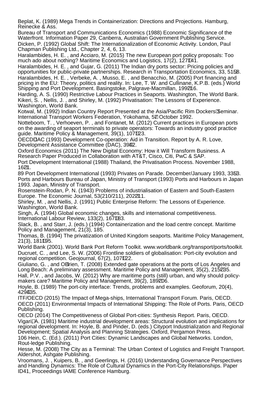Beplat, K. (1989) Mega Trends in Containerization: Directions and Projections. Hamburg, Reinecke & Ass.

Bureau of Transport and Communications Economics (1988) Economic Significance of the Waterfront. Information Paper 29, Canberra, Australian Government Publishing Service. Dicken, P. (1992) Global Shift: The Internationalization of Economic Activity. London, Paul Chapman Publishing Ltd., Chapter 2, 4, 6, 13.

Haralambides, H. E. , and Acciaro, M. (2015) The new European port policy proposals: Too much ado about nothing? Maritime Economics and Logistics,  $17(2)$ ,  $127141$ .

Haralambides, H. E. , and Gujar, G. (2011) The Indian dry ports sector: Pricing policies and opportunities for public-private partnerships. Research in Transportation Economics, 33, 51â58. Haralambides, H. E. , Verbeke, A. , Musso, E. , and Benacchio, M. (2005) Port financing and pricing in the EU: Theory, politics and reality. In: Lee, T. W. and Cullinane, K.P.B. (eds.) World Shipping and Port Development. Basingstoke, Palgrave-Macmillan, 199216.

Harding, A. S. (1990) Restrictive Labour Practices in Seaports. Washington, The World Bank. Kikeri, S. , Nellis, J. , and Shirley, M. (1992) Privatisation: The Lessons of Experience. Washington, World Bank.

Kotwal, M. (1992) Indian Country Report Presented at the Asia/Pacific Rim Dockersâ Seminar. International Transport Workers Federation, Yokohama, 57 October 1992.

Notteboom, T. , Verhoeven, P. , and Fontanet, M. (2012) Current practices in European ports on the awarding of seaport terminals to private operators: Towards an industry good practice guide. Maritime Policy & Management, 39(1), 107123.

OECDDAC (1993) Development Co-operation: Aid in Transition. Report by A. R. Love, Development Assistance Committee (DAC), 3942.

Oxford Economics (2011) The New Digital Economy: How it Will Transform Business. A Research Paper Produced in Collaboration with AT&T, Cisco, Citi, PwC & SAP.

Port Development International (1988) Thailand, the Privatisation Process. November 1988, 1621.

89 Port Development International (1993) Privates on Parade. December/January 1993, 3353. Ports and Harbours Bureau of Japan, Ministry of Transport (1993) Ports and Harbours in Japan 1993. Japan, Ministry of Transport.

Rosenstein-Rodan, P. N. (1943) Problems of industrialisation of Eastern and South-Eastern Europe. The Economic Journal, 53(210/211), 202211.

Shirley, M. , and Nellis, J. (1991) Public Enterprise Reform: The Lessons of Experience. Washington, World Bank.

Singh, A. (1994) Global economic changes, skills and international competitiveness. International Labour Review, 133(2), 167183.

Slack, B. , and Starr, J. (eds.) (1994) Containerization and the load centre concept. Maritime Policy and Management, 21(3), 185.

Thomas, B. (1994) The privatization of United Kingdom seaports. Maritime Policy Management, 21(3), 181195.

World Bank (2001). World Bank Port Reform Toolkit. www.worldbank.org/transport/ports/toolkit. Ducruet, C. , and Lee, S. W. (2006) Frontline soldiers of globalisation: Port-city evolution and regional competition. Geojournal,  $67(2)$ , 107122.

Giuliano, G., and OBrien, T. (2008) Extended gate operations at the ports of Los Angeles and Long Beach: A preliminary assessment. Maritime Policy and Management, 35(2), 215235. Hall, P.V. , and Jacobs, W. (2012) Why are maritime ports (still) urban, and why should policymakers care? Maritime Policy and Management, 39(2), 189206.

Hoyle, B. (1989) The port-city interface: Trends, problems and examples. Geoforum, 20(4), 429â435.

ITF/OECD (2015) The Impact of Mega-ships, International Transport Forum. Paris, OECD. OECD (2011) Environmental Impacts of International Shipping: The Role of Ports. Paris, OECD Publishing.

OECD (2014) The Competitiveness of Global Port-cities: Synthesis Report. Paris, OECD. Vigari, A. (1981) Maritime industrial development areas: Structural evolution and implications for regional development. In: Hoyle, B. and Pinder, D. (eds.) Cityport Industrialization and Regional Development; Spatial Analysis and Planning Strategies. Oxford, Pergamon Press.

106 Hein, C. (Ed.). (2011) Port Cities: Dynamic Landscapes and Global Networks. London, Rout-ledge Publishing.

Hesse, M. (2008) The City as a Terminal: The Urban Context of Logistics and Freight Transport. Aldershot, Ashgate Publishing.

Vroomans, J. , Kuipers, B. , and Geerlings, H. (2016) Understanding Governance Perspectives and Handling Dynamics: The Role of Cultural Dynamics in the Port-City Relationships. Paper ID41, Proceedings IAME Conference Hamburg.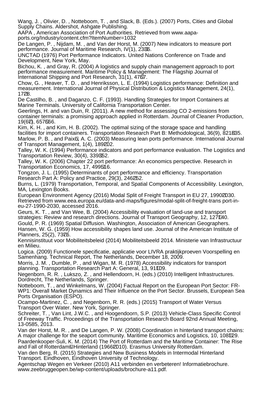Wang, J. , Olivier, D. , Notteboom, T. , and Slack, B. (Eds.). (2007) Ports, Cities and Global Supply Chains. Aldershot, Ashgate Publishing.

AAPA , American Association of Port Authorities. Retrieved from www.aapaports.org/Industry/content.cfm?ItemNumber=1032

De Langen, P. , Nijdam, M. , and Van der Horst, M. (2007) New indicators to measure port performance. Journal of Maritime Research, IV(1), 2336.

UNCTAD (1976) Port Performance Indicators. United Nations Conference on Trade and Development, New York, May.

Bichou, K. , and Gray, R. (2004) A logistics and supply chain management approach to port performance measurement. Maritime Policy & Management: The Flagship Journal of International Shipping and Port Research, 31(1), 4767.

Chow, G. , Heaver, T. D. , and Henriksson, L. E. (1994) Logistics performance: Definition and measurement. International Journal of Physical Distribution & Logistics Management, 24(1), 1728.

De Castilho, B. , and Daganzo, C. F. (1993). Handling Strategies for Import Containers at Marine Terminals. University of California Transportation Center.

Geerlings, H. and van Duin, R. (2011). A new method for assessing CO 2-emissions from container terminals: a promising approach applied in Rotterdam. Journal of Cleaner Production, 19(67), 657666.

Kim, K. H. , and Kim, H. B. (2002). The optimal sizing of the storage space and handling facilities for import containers. Transportation Research Part B: Methodological, 36(9), 821â835. Marlow, P. B., and Paixo, A. C. (2003) Measuring lean ports performance. International Journal of Transport Management,  $1(4)$ ,  $189202$ .

Talley, W. K. (1994) Performance indicators and port performance evaluation. The Logistics and Transportation Review, 30(4), 339352.

Talley, W. K. (2006) Chapter 22 port performance: An economics perspective. Research in Transportation Economics, 17, 499516.

Tongzon, J. L. (1995) Determinants of port performance and efficiency. Transportation Research Part A: Policy and Practice, 29(3), 246252.

Burns, L. (1979) Transportation, Temporal, and Spatial Components of Accessibility. Lexington, MA, Lexington Books.

European Environment Agency (2016) Modal Split of Freight Transport in EU 27, 19902030. Retrieved from www.eea.europa.eu/data-and-maps/figures/modal-split-of-freight-trans port-ineu-27-1990-2030, accessed 2016.

Geurs, K. T. , and Van Wee, B. (2004) Accessibility evaluation of land-use and transport strategies: Review and research directions. Journal of Transport Geography, 12, 127â140. Gould, P. R. (1969) Spatial Diffusion. Washington, Association of American Geographers. Hansen, W. G. (1959) How accessibility shapes land use. Journal of the American Institute of

Planners, 25(2), 7376. Kennisinstituut voor Mobiliteitsbeleid (2014) Mobiliteitsbeeld 2014. Ministerie van Infrastructuur en Milieu.

Logica. (2009) Functionele specificatie, applicatie voor LIVRA praktijkproeven Voorspelling en Samenhang. Technical Report, The Netherlands, December 18, 2009.

Morris, J. M. , Dumble, P. , and Wigan, M. R. (1978) Accessibility indicators for transport planning. Transportation Research Part A: General, 13, 91109.

Negenborn, R. R. , Lukszo, Z. , and Hellendoorn, H. (eds.) (2010) Intelligent Infrastructures. Dordrecht, The Netherlands, Springer.

Notteboom, T. , and Winkelmans, W. (2004) Factual Report on the European Port Sector: FR-WP1: Overall Market Dynamics and Their Influence on the Port Sector. Brussels, European Sea Ports Organisation (ESPO).

Ocampo-Martinez, C. , and Negenborn, R. R. (eds.) (2015) Transport of Water Versus Transport Over Water. New York, Springer.

Schreiter, T. , Van Lint, J.W.C. , and Hoogendoorn, S.P. (2013) Vehicle-Class Specific Control of Freeway Traffic. Proceedings of the Transportation Research Board 92nd Annual Meeting, 13-0585, 2013.

Van der Horst, M. R. , and De Langen, P. W. (2008) Coordination in hinterland transport chains: A major challenge for the seaport community. Maritime Economics and Logistics, 10, 108129. Paardenkooper-Suli, K. M. (2014) The Port of Rotterdam and the Maritime Container: The Rise and Fall of Rotterdams Hinterland (19662010). Erasmus University Rotterdam.

Van den Berg, R. (2015) Strategies and New Business Models in Intermodal Hinterland Transport. Eindhoven, Eindhoven University of Technology.

Agentschap Wegen en Verkeer (2010) A11 verbinden en verbeteren! Informatiebrochure. www.zeebruggeopen.be/wp-content/uploads/brochure-a11.pdf.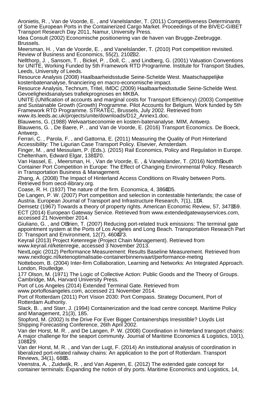Aronietis, R. , Van de Voorde, E. , and Vanelslander, T. (2011) Competitiveness Determinants of Some European Ports in the Containerized Cargo Market. Proceedings of the BIVEC-GIBET Transport Research Day 2011, Namur, University Press.

Idea Consult (2002) Economische positionering van de haven van Brugge-Zeebrugge. Brussels.

Meersman, H. , Van de Voorde, E. , and Vanelslander, T. (2010) Port competition revisited. Review of Business and Economics, 55(2), 210232.

Nellthorp, J. , Sansom, T. , Bickel, P. , Doll, C. , and Lindberg, G. (2001) Valuation Conventions for UNITE, Working Funded by 5th Framework RTD Programme. Institute for Transport Studies, Leeds, University of Leeds.

Resource Analysis (2008) Haalbaarheidsstudie Seine-Schelde West. Maatschappelijke kostenbatenanalyse, financiering en macro-economische impact.

Resource Analysis, Technum, Tritel, IMDC (2009) Haalbaarheidsstudie Seine-Schelde West. Gevoeligheidsanalyses trafiekprognoses en MKBA.

UNITE (UNIfication of accounts and marginal costs for Transport Efficiency) (2003) Competitive and Sustainable Growth (Growth) Programme. Pilot Accounts for Belgium. Work funded by 5th Framework RTD Programme. STRATEC, Brussels, July 2002. Retrieved from www.its.leeds.ac.uk/projects/unite/downloads/D12\_Annex1.doc.

Blauwens, G. (1988) Welvaartseconomie en kosten-batenanalyse. MIM, Antwerp. Blauwens, G. , De Baere, P. , and Van de Voorde, E. (2016) Transport Economics. De Boeck, Antwerp.

Ferrari, C. , Parola, F. , and Gattorna, E. (2011) Measuring the Quality of Port Hinterland Accessibility: The Ligurian Case Transport Policy. Elsevier, Amsterdam.

Finger, M. , and Messulam, P. (Eds.). (2015) Rail Economics, Policy and Regulation in Europe. Cheltenham, Edward Elgar, 138170.

Van Hassel, E., Meersman, H., Van de Voorde, E., & Vanelslander, T. (2016) NorthSouth Container Port Competition in Europe: The Effect of Changing Environmental Policy. Research in Transportation Business & Management.

Zhang, A. (2008) The Impact of Hinterland Access Conditions on Rivalry between Ports. Retrieved from oecd-ilibrary.org.

Coase, R. H. (1937) The nature of the firm. Economica, 4, 386405.

De Langen, P. W. (2007) Port competition and selection in contestable hinterlands; the case of Austria. European Journal of Transport and Infrastructure Research, 7(1), 114.

Demsetz (1967) Towards a theory of property rights. American Economic Review, 57, 347â359. ECT (2014) European Gateway Service. Retrieved from www.extendedgatewayservices.com, accessed 21 November 2014.

Giuliano, G., and OBrien, T. (2007) Reducing port-related truck emissions: The terminal gate appointment system at the Ports of Los Angeles and Long Beach. Transportation Research Part D: Transport and Environment, 12(7), 460473.

Keyrail (2013) Project Ketenregie (Project Chain Management). Retrieved from www.keyrail.nl/ketenregie, accessed 3 November 2013.

NextLogic (2012) Performance Measurement: Results Baseline Measurement. Retrieved from www.nextlogic.nl/ketenoptimalisatie-containerbinnenvaart/performance-meting

Notteboom, B. (2004) Inter-firm Collaboration, Learning and Networks: An Integrated Approach. London, Routledge.

177 Olson, M. (1971) The Logic of Collective Action: Public Goods and the Theory of Groups. Cambridge, MA, Harvard University Press.

Port of Los Angeles (2014) Extended Terminal Gate. Retrieved from

www.portoflosangeles.com, accessed 21 November 2014.

Port of Rotterdam (2011) Port Vision 2030: Port Compass. Strategy Document, Port of Rotterdam Authority.

Slack, B. , and Starr, J. (1994) Containerization and the load centre concept. Maritime Policy and Management, 21(3), 185.

Stopford, M. (2002) Is the Drive For Ever Bigger Containerships Irresistible? Lloyds List Shipping Forecasting Conference, 26th April 2002.

Van der Horst, M. R. , and De Langen, P. W. (2008) Coordination in hinterland transport chains: A major challenge for the seaport community. Journal of Maritime Economics & Logistics, 10(1), 108â129.

Van der Horst, M. R. , and Van der Lugt, F. (2014) An institutional analysis of coordination in liberalized port-related railway chains: An application to the port of Rotterdam. Transport Reviews, 34(1), 6885.

Veenstra, A. , Zuidwijk, R. , and Van Asperen, E. (2012) The extended gate concept for container terminals: Expanding the notion of dry ports. Maritime Economics and Logistics, 14,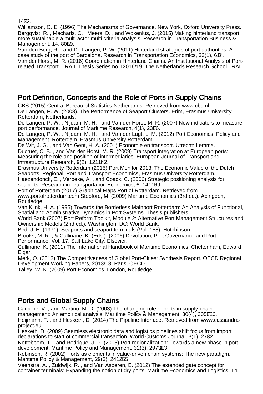1432

Williamson, O. E. (1996) The Mechanisms of Governance. New York, Oxford University Press. Bergqvist, R. , Macharis, C. , Meers, D. , and Woxenius, J. (2015) Making hinterland transport more sustainable a multi actor multi criteria analysis. Research in Transportation Business & Management, 14, 8089.

Van den Berg, R. , and De Langen, P. W. (2011) Hinterland strategies of port authorities: A case study of the port of Barcelona. Research in Transportation Economics,  $33(1)$ , 614. Van der Horst, M. R. (2016) Coordination in Hinterland Chains. An Institutional Analysis of Portrelated Transport. TRAIL Thesis Series no T2016/19, The Netherlands Research School TRAIL.

#### Port Definition, Concepts and the Role of Ports in Supply Chains

CBS (2015) Central Bureau of Statistics Netherlands. Retrieved from www.cbs.nl De Langen, P. W. (2003). The Performance of Seaport Clusters. Erim, Erasmus University Rotterdam, Netherlands.

De Langen, P. W. , Nijdam, M. H. , and Van der Horst, M. R. (2007) New indicators to measure port performance. Journal of Maritime Research, 4(1), 2336.

De Langen, P. W. , Nijdam, M. H. , and Van der Lugt, L. M. (2012) Port Economics, Policy and Management. Rotterdam, Erasmus University Rotterdam.

De Wit, J. G. , and Van Gent, H. A. (2001) Economie en transport. Utrecht: Lemma. Ducruet, C. B. , and Van der Horst, M. R. (2009) Transport integration at European ports: Measuring the role and position of intermediaries. European Journal of Transport and Infrastructure Research, 9(2), 121142.

Erasmus University Rotterdam (2015) Port Monitor 2013: The Economic Value of the Dutch Seaports. Regional, Port and Transport Economics, Erasmus University Rotterdam. Haezendonck, E. , Verbeke, A. , and Coack, C. (2006) Strategic positioning analysis for seaports. Research in Transportation Economics, 6, 141169.

Port of Rotterdam (2017) Graphical Maps Port of Rotterdam. Retrieved from www.portofrotterdam.com Stopford, M. (2009) Maritime Economics (3rd ed.). Abingdon, Routledge.

Van Klink, H. A. (1995) Towards the Borderless Mainport Rotterdam: An Analysis of Functional, Spatial and Administrative Dynamics in Port Systems. Thesis publishers.

World Bank (2007) Port Reform Toolkit, Module 2: Alternative Port Management Structures and Ownership Models (2nd ed.). Washington, DC: World Bank.

Bird, J. H. (1971). Seaports and seaport terminals (Vol. 158). Hutchinson.

Brooks, M. R. , & Cullinane, K. (Eds.). (2006) Devolution, Port Governance and Port Performance. Vol. 17, Salt Lake City, Elsevier.

Cullinane, K. (2011) The International Handbook of Maritime Economics. Cheltenham, Edward Elgar.

Merk, O. (2013) The Competitiveness of Global Port-Cities: Synthesis Report. OECD Regional Development Working Papers, 2013/13, Paris, OECD.

Talley, W. K. (2009) Port Economics. London, Routledge.

#### Ports and Global Supply Chains

Carbone, V. , and Martino, M. D. (2003) The changing role of ports in supply-chain management: An empirical analysis. Maritime Policy & Management, 30(4), 305320. Heijmann, F. , and Hesketh, D. (2014) The Pipeline Interface. Retrieved from www.cassandraproject.eu

Hesketh, D. (2009) Seamless electronic data and logistics pipelines shift focus from import declarations to start of commercial transaction. World Customs Journal, 3(1), 27â32.

Notteboom, T. , and Rodrigue, J.-P. (2005) Port regionalization: Towards a new phase in port development. Maritime Policy and Management, 32(3), 297313.

Robinson, R. (2002) Ports as elements in value-driven chain systems: The new paradigm. Maritime Policy & Management, 29(3), 241255.

Veenstra, A. , Zuidwijk, R. , and Van Asperen, E. (2012) The extended gate concept for container terminals: Expanding the notion of dry ports. Maritime Economics and Logistics, 14,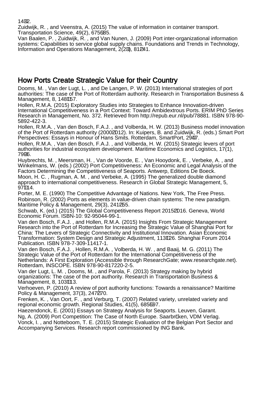1432

Zuidwijk, R. , and Veenstra, A. (2015) The value of information in container transport. Transportation Science, 49(2), 675â685.

Van Baalen, P. , Zuidwijk, R. , and Van Nunen, J. (2009) Port inter-organizational information systems: Capabilities to service global supply chains. Foundations and Trends in Technology, Information and Operations Management, 2(23), 81241.

#### How Ports Create Strategic Value for their Country

Dooms, M. , Van der Lugt, L. , and De Langen, P. W. (2013) International strategies of port authorities: The case of the Port of Rotterdam authority. Research in Transportation Business & Management, 8, 148157.

Hollen, R.M.A. (2015) Exploratory Studies into Strategies to Enhance Innovation-driven International Competitiveness in a Port Context: Toward Ambidextrous Ports. ERIM PhD Series Research in Management, No. 372. Retrieved from http://repub.eur.nl/pub/78881. ISBN 978-90- 5892-422-3.

Hollen, R.M.A. , Van den Bosch, F.A.J. , and Volberda, H. W. (2013) Business model innovation of the Port of Rotterdam authority (20002012). In: Kuipers, B. and Zuidwijk, R. (eds.) Smart Port Perspectives: Essays in Honour of Hans Smits. Rotterdam, SmartPort, 29â47.

Hollen, R.M.A. , Van den Bosch, F.A.J. , and Volberda, H. W. (2015) Strategic levers of port authorities for industrial ecosystem development. Maritime Economics and Logistics, 17(1), 7996.

Huybrechts, M. , Meersman, H. , Van de Voorde, E. , Van Hooydonk, E. , Verbeke, A. , and Winkelmans, W. (eds.) (2002) Port Competitiveness: An Economic and Legal Analysis of the Factors Determining the Competitiveness of Seaports. Antwerp, Editions De Boeck.

Moon, H. C. , Rugman, A. M. , and Verbeke, A. (1995) The generalized double diamond approach to international competitiveness. Research in Global Strategic Management, 5, 97114.

Porter, M. E. (1990) The Competitive Advantage of Nations. New York, The Free Press. Robinson, R. (2002) Ports as elements in value-driven chain systems: The new paradigm. Maritime Policy & Management, 29(3), 241255.

Schwab, K. (ed.) (2015) The Global Competitiveness Report 20152016. Geneva, World Economic Forum. ISBN-10: 92-95044-99-1.

Van den Bosch, F.A.J. , and Hollen, R.M.A. (2015) Insights From Strategic Management Research into the Port of Rotterdam for Increasing the Strategic Value of Shanghai Port for China: The Levers of Strategic Connectivity and Institutional Innovation. Asian Economic Transformation: System Design and Strategic Adjustment, 113â126. Shanghai Forum 2014 Publication. ISBN 978-7-309-11417-1.

Van den Bosch, F.A.J. , Hollen, R.M.A. , Volberda, H. W. , and Baaij, M. G. (2011) The Strategic Value of the Port of Rotterdam for the International Competitiveness of the Netherlands: A First Exploration (Accessible through ResearchGate; www.researchgate.net). Rotterdam, INSCOPE. ISBN 978-90-817220-2-5.

Van der Lugt, L. M. , Dooms, M. , and Parola, F. (2013) Strategy making by hybrid organizations: The case of the port authority. Research in Transportation Business & Management, 8, 103113.

Verhoeven, P. (2010) A review of port authority functions: Towards a renaissance? Maritime Policy & Management, 37(3), 247270.

Frenken, K. , Van Oort, F. , and Verburg, T. (2007) Related variety, unrelated variety and regional economic growth. Regional Studies, 41(5), 685697.

Haezendonck, E. (2001) Essays on Strategy Analysis for Seaports. Leuven, Garant. Ng, A. (2009) Port Competition: The Case of North Europe. Saarbrcken, VDM Verlag. Vonck, I. , and Notteboom, T. E. (2015) Strategic Evaluation of the Belgian Port Sector and Accompanying Services. Research report commissioned by ING Bank.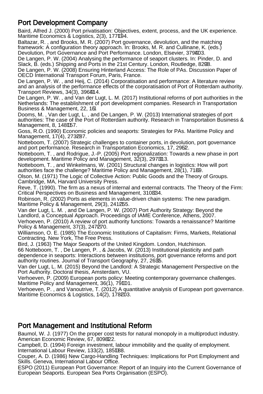#### Port Development Company

Baird, Alfred J. (2000) Port privatisation: Objectives, extent, process, and the UK experience. Maritime Economics & Logistics, 2(3), 177194.

Baltazar, R. , and Brooks, M. R. (2007) Port governance, devolution, and the matching framework: A configuration theory approach. In: Brooks, M. R. and Cullinane, K. (eds.) Devolution, Port Governance and Port Performance. London, Elsevier, 379403.

De Langen, P. W. (2004) Analysing the performance of seaport clusters. In: Pinder, D. and Slack, B. (eds.) Shipping and Ports in the 21st Century. London, Routledge, 8298.

De Langen, P. W. (2008) Ensuring Hinterland Access: The Role of PAs. Discussion Paper of OECD International Transport Forum, Paris, France.

De Langen, P. W. , and Heij, C. (2014) Corporatisation and performance: A literature review and an analysis of the performance effects of the corporatisation of Port of Rotterdam authority. Transport Reviews,  $34(3)$ ,  $396414$ .

De Langen, P. W. , and Van der Lugt, L. M. (2017) Institutional reforms of port authorities in the Netherlands: The establishment of port development companies. Research in Transportation Business & Management, 22, 16.

Dooms, M. , Van der Lugt, L. , and De Langen, P. W. (2013) International strategies of port authorities: The case of the Port of Rotterdam authority. Research in Transportation Business & Management, 8, 148157.

Goss, R.O. (1990) Economic policies and seaports: Strategies for PAs. Maritime Policy and Management, 17(4), 273287.

Notteboom, T. (2007) Strategic challenges to container ports, in devolution, port governance and port performance. Research in Transportation Economics, 17, 2952.

Notteboom, T. , and Rodrigue, J.-P. (2005) Port regionalization: Towards a new phase in port development. Maritime Policy and Management, 32(3), 297313.

Notteboom, T. , and Winkelmans, W. (2001) Structural changes in logistics: How will port authorities face the challenge? Maritime Policy and Management, 28(1), 71â89.

Olson, M. (1971) The Logic of Collective Action: Public Goods and the Theory of Groups. Cambridge, MA, Harvard University Press.

Reve, T. (1990). The firm as a nexus of internal and external contracts. The Theory of the Firm: Critical Perspectives on Business and Management, 310â334.

Robinson, R. (2002) Ports as elements in value-driven chain systems: The new paradigm. Maritime Policy & Management, 29(3), 241255.

Van der Lugt, L. M. , and De Langen, P. W. (2007) Port Authority Strategy: Beyond the Landlord, a Conceptual Approach. Proceedings of IAME Conference, Athens, 2007.

Verhoeven, P. (2010) A review of port authority functions: Towards a renaissance? Maritime Policy & Management, 37(3), 247270.

Williamson, O. E. (1985) The Economic Institutions of Capitalism: Firms, Markets, Relational Contracting. New York, The Free Press.

Bird, J. (1963) The Major Seaports of the United Kingdom. London, Hutchinson.

66 Notteboom, T. , De Langen, P. , & Jacobs, W. (2013) Institutional plasticity and path dependence in seaports: Interactions between institutions, port governance reforms and port authority routines. Journal of Transport Geography, 27, 26â35.

Van der Lugt, L. M. (2015) Beyond the Landlord: A Strategic Management Perspective on the Port Authority. Doctoral thesis, Amsterdam, VU.

Verhoeven, P. (2009) European ports policy: Meeting contemporary governance challenges. Maritime Policy and Management, 36(1), 79101.

Verhoeven, P. , and Vanoutrive, T. (2012) A quantitative analysis of European port governance. Maritime Economics & Logistics,  $14(2)$ ,  $178203$ .

#### Port Management and Institutional Reform

Baumol, W. J. (1977) On the proper cost tests for natural monopoly in a multiproduct industry. American Economic Review, 67, 809822.

Campbell, D. (1994) Foreign investment, labour immobility and the quality of employment. International Labour Review, 133(2), 185188.

Couper, A. D. (1986) New Cargo-Handling Techniques: Implications for Port Employment and Skills. Geneva, International Labour Office.

ESPO (2011) European Port Governance: Report of an Inquiry into the Current Governance of European Seaports. European Sea Ports Organisation (ESPO).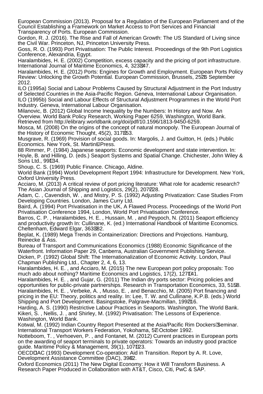European Commission (2013). Proposal for a Regulation of the European Parliament and of the Council Establishing a Framework on Market Access to Port Services and Financial Transparency of Ports. European Commission.

Gordon, R. J. (2016). The Rise and Fall of American Growth: The US Standard of Living since the Civil War. Princeton, NJ, Princeton University Press.

Goss, R. O. (1993) Port Privatisation: The Public Interest. Proceedings of the 9th Port Logistics Conference, Alexandria, Egypt.

Haralambides, H. E. (2002) Competition, excess capacity and the pricing of port infrastructure. International Journal of Maritime Economics, 4, 323347.

Haralambides, H. E. (2012) Ports: Engines for Growth and Employment. European Ports Policy Review: Unlocking the Growth Potential. European Commission, Brussels, 25â26 September 2012.

ILO (1995a) Social and Labour Problems Caused by Structural Adjustment in the Port Industry of Selected Countries in the Asia-Pacific Region. Geneva, International Labour Organisation. ILO (1995b) Social and Labour Effects of Structural Adjustment Programmes in the World Port Industry. Geneva, International Labour Organisation.

Milanovic, B. (2012) Global Income Inequality by the Numbers: In History and Now. An Overview. World Bank Policy Research, Working Paper 6259, Washington, World Bank. Retrieved from http://elibrary.worldbank.org/doi/pdf/10.1596/1813-9450-6259.

Mosca, M. (2008) On the origins of the concept of natural monopoly. The European Journal of the History of Economic Thought, 45(2), 317â353.

Musgrave, R. (1969) Provision of social goods. In: Margolis, J. and Guitton, H. (eds.) Public Economics. New York, St. Martins Press.

88 Rimmer, P. (1984) Japanese seaports: Economic development and state intervention. In: Hoyle, B. and Hilling, D. (eds.) Seaport Systems and Spatial Change. Chichester, John Wiley & Sons Ltd., 99134.

Shoup, C. S. (1969) Public Finance. Chicago, Aldine.

World Bank (1994) World Development Report 1994: Infrastructure for Development. New York, Oxford University Press.

Acciaro, M. (2013) A critical review of port pricing literature: What role for academic research? The Asian Journal of Shipping and Logistics, 29(2), 207228.

Adam, C. , Cavendish, W. , and Mistry, P. S. (1992) Adjusting Privatization: Case Studies From Developing Countries. London, James Curry Ltd.

Baird, A. (1994) Port Privatisation in the UK, A Flawed Process. Proceedings of the World Port Privatisation Conference 1994, London, World Port Privatisation Conference.

Barros, C. P. , Haralambides, H. E. , Hussain, M. , and Peypoch, N. (2011) Seaport efficiency and productivity growth In: Cullinane, K. (ed.) International Handbook of Maritime Economics. Cheltenham, Edward Elgar, 363382.

Beplat, K. (1989) Mega Trends in Containerization: Directions and Projections. Hamburg, Reinecke & Ass.

Bureau of Transport and Communications Economics (1988) Economic Significance of the Waterfront. Information Paper 29, Canberra, Australian Government Publishing Service. Dicken, P. (1992) Global Shift: The Internationalization of Economic Activity. London, Paul

Chapman Publishing Ltd., Chapter 2, 4, 6, 13.

Haralambides, H. E. , and Acciaro, M. (2015) The new European port policy proposals: Too much ado about nothing? Maritime Economics and Logistics, 17(2), 127141.

Haralambides, H. E. , and Gujar, G. (2011) The Indian dry ports sector: Pricing policies and opportunities for public-private partnerships. Research in Transportation Economics, 33, 51â58. Haralambides, H. E. , Verbeke, A. , Musso, E. , and Benacchio, M. (2005) Port financing and pricing in the EU: Theory, politics and reality. In: Lee, T. W. and Cullinane, K.P.B. (eds.) World Shipping and Port Development. Basingstoke, Palgrave-Macmillan, 199216.

Harding, A. S. (1990) Restrictive Labour Practices in Seaports. Washington, The World Bank. Kikeri, S. , Nellis, J. , and Shirley, M. (1992) Privatisation: The Lessons of Experience. Washington, World Bank.

Kotwal, M. (1992) Indian Country Report Presented at the Asia/Pacific Rim Dockers Seminar. International Transport Workers Federation, Yokohama, 57 October 1992.

Notteboom, T. , Verhoeven, P. , and Fontanet, M. (2012) Current practices in European ports on the awarding of seaport terminals to private operators: Towards an industry good practice guide. Maritime Policy & Management, 39(1), 107123.

OECDDAC (1993) Development Co-operation: Aid in Transition. Report by A. R. Love, Development Assistance Committee (DAC), 3942.

Oxford Economics (2011) The New Digital Economy: How it Will Transform Business. A Research Paper Produced in Collaboration with AT&T, Cisco, Citi, PwC & SAP.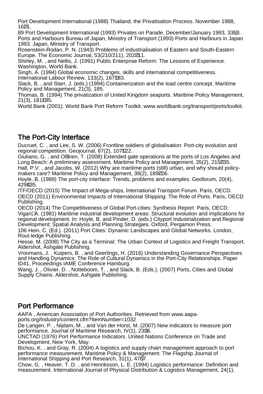Port Development International (1988) Thailand, the Privatisation Process. November 1988, 1621.

89 Port Development International (1993) Privates on Parade. December/January 1993, 33â53. Ports and Harbours Bureau of Japan, Ministry of Transport (1993) Ports and Harbours in Japan 1993. Japan, Ministry of Transport.

Rosenstein-Rodan, P. N. (1943) Problems of industrialisation of Eastern and South-Eastern Europe. The Economic Journal, 53(210/211), 202211.

Shirley, M. , and Nellis, J. (1991) Public Enterprise Reform: The Lessons of Experience. Washington, World Bank.

Singh, A. (1994) Global economic changes, skills and international competitiveness. International Labour Review, 133(2), 167183.

Slack, B. , and Starr, J. (eds.) (1994) Containerization and the load centre concept. Maritime Policy and Management, 21(3), 185.

Thomas, B. (1994) The privatization of United Kingdom seaports. Maritime Policy Management, 21(3), 181195.

World Bank (2001). World Bank Port Reform Toolkit. www.worldbank.org/transport/ports/toolkit.

#### The Port-City Interface

Ducruet, C. , and Lee, S. W. (2006) Frontline soldiers of globalisation: Port-city evolution and regional competition. Geojournal, 67(2), 107122.

Giuliano, G., and OBrien, T. (2008) Extended gate operations at the ports of Los Angeles and Long Beach: A preliminary assessment. Maritime Policy and Management, 35(2), 215235. Hall, P.V. , and Jacobs, W. (2012) Why are maritime ports (still) urban, and why should policymakers care? Maritime Policy and Management, 39(2), 189206.

Hoyle, B. (1989) The port-city interface: Trends, problems and examples. Geoforum, 20(4), 429â435.

ITF/OECD (2015) The Impact of Mega-ships, International Transport Forum. Paris, OECD. OECD (2011) Environmental Impacts of International Shipping: The Role of Ports. Paris, OECD Publishing.

OECD (2014) The Competitiveness of Global Port-cities: Synthesis Report. Paris, OECD. Vigari, A. (1981) Maritime industrial development areas: Structural evolution and implications for regional development. In: Hoyle, B. and Pinder, D. (eds.) Cityport Industrialization and Regional Development; Spatial Analysis and Planning Strategies. Oxford, Pergamon Press.

106 Hein, C. (Ed.). (2011) Port Cities: Dynamic Landscapes and Global Networks. London, Rout-ledge Publishing.

Hesse, M. (2008) The City as a Terminal: The Urban Context of Logistics and Freight Transport. Aldershot, Ashgate Publishing.

Vroomans, J. , Kuipers, B. , and Geerlings, H. (2016) Understanding Governance Perspectives and Handling Dynamics: The Role of Cultural Dynamics in the Port-City Relationships. Paper ID41, Proceedings IAME Conference Hamburg.

Wang, J. , Olivier, D. , Notteboom, T. , and Slack, B. (Eds.). (2007) Ports, Cities and Global Supply Chains. Aldershot, Ashgate Publishing.

#### Port Performance

AAPA , American Association of Port Authorities. Retrieved from www.aapaports.org/Industry/content.cfm?ItemNumber=1032

De Langen, P. , Nijdam, M. , and Van der Horst, M. (2007) New indicators to measure port performance. Journal of Maritime Research, IV(1), 2336.

UNCTAD (1976) Port Performance Indicators. United Nations Conference on Trade and Development, New York, May.

Bichou, K. , and Gray, R. (2004) A logistics and supply chain management approach to port performance measurement. Maritime Policy & Management: The Flagship Journal of International Shipping and Port Research, 31(1), 4767.

Chow, G. , Heaver, T. D. , and Henriksson, L. E. (1994) Logistics performance: Definition and measurement. International Journal of Physical Distribution & Logistics Management, 24(1),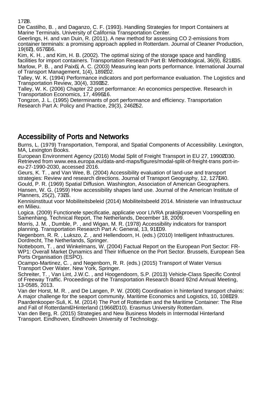1728

De Castilho, B. , and Daganzo, C. F. (1993). Handling Strategies for Import Containers at Marine Terminals. University of California Transportation Center.

Geerlings, H. and van Duin, R. (2011). A new method for assessing CO 2-emissions from container terminals: a promising approach applied in Rotterdam. Journal of Cleaner Production, 19(67), 657666.

Kim, K. H. , and Kim, H. B. (2002). The optimal sizing of the storage space and handling facilities for import containers. Transportation Research Part B: Methodological, 36(9), 821â835. Marlow, P. B. , and Paixo, A. C. (2003) Measuring lean ports performance. International Journal of Transport Management, 1(4), 189202.

Talley, W. K. (1994) Performance indicators and port performance evaluation. The Logistics and Transportation Review, 30(4), 339352.

Talley, W. K. (2006) Chapter 22 port performance: An economics perspective. Research in Transportation Economics, 17, 499516.

Tongzon, J. L. (1995) Determinants of port performance and efficiency. Transportation Research Part A: Policy and Practice, 29(3), 246252.

#### Accessibility of Ports and Networks

Burns, L. (1979) Transportation, Temporal, and Spatial Components of Accessibility. Lexington, MA, Lexington Books.

European Environment Agency (2016) Modal Split of Freight Transport in EU 27, 19902030. Retrieved from www.eea.europa.eu/data-and-maps/figures/modal-split-of-freight-trans port-ineu-27-1990-2030, accessed 2016.

Geurs, K. T. , and Van Wee, B. (2004) Accessibility evaluation of land-use and transport strategies: Review and research directions. Journal of Transport Geography, 12, 127â140. Gould, P. R. (1969) Spatial Diffusion. Washington, Association of American Geographers. Hansen, W. G. (1959) How accessibility shapes land use. Journal of the American Institute of Planners, 25(2), 7376.

Kennisinstituut voor Mobiliteitsbeleid (2014) Mobiliteitsbeeld 2014. Ministerie van Infrastructuur en Milieu.

Logica. (2009) Functionele specificatie, applicatie voor LIVRA praktijkproeven Voorspelling en Samenhang. Technical Report, The Netherlands, December 18, 2009.

Morris, J. M. , Dumble, P. , and Wigan, M. R. (1978) Accessibility indicators for transport planning. Transportation Research Part A: General, 13, 91109.

Negenborn, R. R. , Lukszo, Z. , and Hellendoorn, H. (eds.) (2010) Intelligent Infrastructures. Dordrecht, The Netherlands, Springer.

Notteboom, T. , and Winkelmans, W. (2004) Factual Report on the European Port Sector: FR-WP1: Overall Market Dynamics and Their Influence on the Port Sector. Brussels, European Sea Ports Organisation (ESPO).

Ocampo-Martinez, C. , and Negenborn, R. R. (eds.) (2015) Transport of Water Versus Transport Over Water. New York, Springer.

Schreiter, T. , Van Lint, J.W.C. , and Hoogendoorn, S.P. (2013) Vehicle-Class Specific Control of Freeway Traffic. Proceedings of the Transportation Research Board 92nd Annual Meeting, 13-0585, 2013.

Van der Horst, M. R. , and De Langen, P. W. (2008) Coordination in hinterland transport chains: A major challenge for the seaport community. Maritime Economics and Logistics, 10, 108129. Paardenkooper-Suli, K. M. (2014) The Port of Rotterdam and the Maritime Container: The Rise and Fall of Rotterdams Hinterland (19662010). Erasmus University Rotterdam.

Van den Berg, R. (2015) Strategies and New Business Models in Intermodal Hinterland Transport. Eindhoven, Eindhoven University of Technology.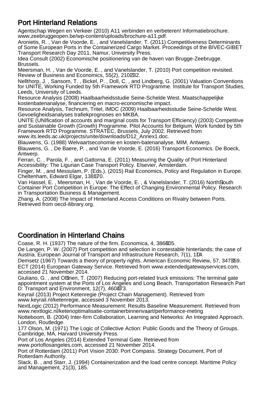### Port Hinterland Relations

Agentschap Wegen en Verkeer (2010) A11 verbinden en verbeteren! Informatiebrochure. www.zeebruggeopen.be/wp-content/uploads/brochure-a11.pdf.

Aronietis, R. , Van de Voorde, E. , and Vanelslander, T. (2011) Competitiveness Determinants of Some European Ports in the Containerized Cargo Market. Proceedings of the BIVEC-GIBET Transport Research Day 2011, Namur, University Press.

Idea Consult (2002) Economische positionering van de haven van Brugge-Zeebrugge. Brussels.

Meersman, H. , Van de Voorde, E. , and Vanelslander, T. (2010) Port competition revisited. Review of Business and Economics, 55(2), 210232.

Nellthorp, J. , Sansom, T. , Bickel, P. , Doll, C. , and Lindberg, G. (2001) Valuation Conventions for UNITE, Working Funded by 5th Framework RTD Programme. Institute for Transport Studies, Leeds, University of Leeds.

Resource Analysis (2008) Haalbaarheidsstudie Seine-Schelde West. Maatschappelijke kostenbatenanalyse, financiering en macro-economische impact.

Resource Analysis, Technum, Tritel, IMDC (2009) Haalbaarheidsstudie Seine-Schelde West. Gevoeligheidsanalyses trafiekprognoses en MKBA.

UNITE (UNIfication of accounts and marginal costs for Transport Efficiency) (2003) Competitive and Sustainable Growth (Growth) Programme. Pilot Accounts for Belgium. Work funded by 5th Framework RTD Programme. STRATEC, Brussels, July 2002. Retrieved from www.its.leeds.ac.uk/projects/unite/downloads/D12\_Annex1.doc.

Blauwens, G. (1988) Welvaartseconomie en kosten-batenanalyse. MIM, Antwerp.

Blauwens, G. , De Baere, P. , and Van de Voorde, E. (2016) Transport Economics. De Boeck, Antwerp.

Ferrari, C. , Parola, F. , and Gattorna, E. (2011) Measuring the Quality of Port Hinterland Accessibility: The Ligurian Case Transport Policy. Elsevier, Amsterdam.

Finger, M. , and Messulam, P. (Eds.). (2015) Rail Economics, Policy and Regulation in Europe. Cheltenham, Edward Elgar, 138170.

Van Hassel, E., Meersman, H., Van de Voorde, E., & Vanelslander, T. (2016) NorthSouth Container Port Competition in Europe: The Effect of Changing Environmental Policy. Research in Transportation Business & Management.

Zhang, A. (2008) The Impact of Hinterland Access Conditions on Rivalry between Ports. Retrieved from oecd-ilibrary.org.

#### Coordination in Hinterland Chains

Coase, R. H. (1937) The nature of the firm. Economica, 4, 386405.

De Langen, P. W. (2007) Port competition and selection in contestable hinterlands; the case of Austria. European Journal of Transport and Infrastructure Research, 7(1), 114.

Demsetz (1967) Towards a theory of property rights. American Economic Review, 57, 347â359. ECT (2014) European Gateway Service. Retrieved from www.extendedgatewayservices.com, accessed 21 November 2014.

Giuliano, G., and OBrien, T. (2007) Reducing port-related truck emissions: The terminal gate appointment system at the Ports of Los Angeles and Long Beach. Transportation Research Part D: Transport and Environment, 12(7), 460473.

Keyrail (2013) Project Ketenregie (Project Chain Management). Retrieved from

www.keyrail.nl/ketenregie, accessed 3 November 2013.

NextLogic (2012) Performance Measurement: Results Baseline Measurement. Retrieved from www.nextlogic.nl/ketenoptimalisatie-containerbinnenvaart/performance-meting

Notteboom, B. (2004) Inter-firm Collaboration, Learning and Networks: An Integrated Approach. London, Routledge.

177 Olson, M. (1971) The Logic of Collective Action: Public Goods and the Theory of Groups. Cambridge, MA, Harvard University Press.

Port of Los Angeles (2014) Extended Terminal Gate. Retrieved from

www.portoflosangeles.com, accessed 21 November 2014.

Port of Rotterdam (2011) Port Vision 2030: Port Compass. Strategy Document, Port of Rotterdam Authority.

Slack, B. , and Starr, J. (1994) Containerization and the load centre concept. Maritime Policy and Management, 21(3), 185.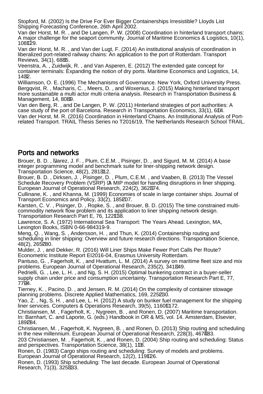Stopford, M. (2002) Is the Drive For Ever Bigger Containerships Irresistible? Lloyds List Shipping Forecasting Conference, 26th April 2002.

Van der Horst, M. R. , and De Langen, P. W. (2008) Coordination in hinterland transport chains: A major challenge for the seaport community. Journal of Maritime Economics & Logistics, 10(1), 108129.

Van der Horst, M. R. , and Van der Lugt, F. (2014) An institutional analysis of coordination in liberalized port-related railway chains: An application to the port of Rotterdam. Transport Reviews, 34(1), 6885.

Veenstra, A. , Zuidwijk, R. , and Van Asperen, E. (2012) The extended gate concept for container terminals: Expanding the notion of dry ports. Maritime Economics and Logistics, 14, 14â32.

Williamson, O. E. (1996) The Mechanisms of Governance. New York, Oxford University Press. Bergqvist, R. , Macharis, C. , Meers, D. , and Woxenius, J. (2015) Making hinterland transport more sustainable a multi actor multi criteria analysis. Research in Transportation Business & Management, 14, 8089.

Van den Berg, R. , and De Langen, P. W. (2011) Hinterland strategies of port authorities: A case study of the port of Barcelona. Research in Transportation Economics,  $33(1)$ , 614. Van der Horst, M. R. (2016) Coordination in Hinterland Chains. An Institutional Analysis of Portrelated Transport. TRAIL Thesis Series no T2016/19, The Netherlands Research School TRAIL.

#### Ports and networks

Brouer, B. D., Ivarez, J. F., Plum, C.E.M., Pisinger, D., and Sigurd, M. M. (2014) A base integer programming model and benchmark suite for liner-shipping network design. Transportation Science, 48(2), 281â312.

Brouer, B. D. , Dirksen, J. , Pisinger, D. , Plum, C.E.M. , and Vaaben, B. (2013) The Vessel Schedule Recovery Problem (VSRP) A MIP model for handling disruptions in liner shipping. European Journal of Operational Research, 224(2), 362374.

Cullinane, K. , and Khanna, M. (1999) Economies of scale in large container ships. Journal of Transport Economics and Policy, 33(2), 185207.

Karsten, C. V. , Pisinger, D. , Ropke, S. , and Brouer, B. D. (2015) The time constrained multicommodity network flow problem and its application to liner shipping network design. Transportation Research Part E, 76, 122138.

Lawrence, S. A. (1972) International Sea Transport: The Years Ahead. Lexington, MA, Lexington Books, ISBN 0-66-984319-9.

Meng, Q. , Wang, S. , Andersson, H. , and Thun, K. (2014) Containership routing and scheduling in liner shipping: Overview and future research directions. Transportation Science, 48(2), 265280.

Mulder, J. , and Dekker, R. (2016) Will Liner Ships Make Fewer Port Calls Per Route? Econometric Institute Report EI2016-04, Erasmus University Rotterdam.

Pantuso, G. , Fagerholt, K. , and Hvattum, L. M. (2014) A survey on maritime fleet size and mix problems. European Journal of Operational Research, 235(2), 341â349.

Pedrielli, G. , Lee, L. H. , and Ng, S. H. (2015) Optimal bunkering contract in a buyer-seller supply chain under price and consumption uncertainty. Transportation Research Part E, 77, 7794.

Tierney, K. , Pacino, D. , and Jensen, R. M. (2014) On the complexity of container stowage planning problems. Discrete Applied Mathematics, 169, 225230.

Yao, Z. , Ng, S. H. , and Lee, L. H. (2012) A study on bunker fuel management for the shipping liner services. Computers & Operations Research, 39(5), 11601172.

Christiansen, M. , Fagerholt, K. , Nygreen, B. , and Ronen, D. (2007) Maritime transportation. In: Barnhart, C. and Laporte, G. (eds.) Handbook in OR & MS, vol. 14. Amsterdam, Elsevier, 189284.

Christiansen, M. , Fagerholt, K. Nygreen, B. , and Ronen, D. (2013) Ship routing and scheduling in the new millennium. European Journal of Operational Research, 228(3), 467â483.

203 Christiansen, M. , Fagerholt, K. , and Ronen, D. (2004) Ship routing and scheduling: Status and perspectives. Transportation Science, 38(1), 118.

Ronen, D. (1983) Cargo ships routing and scheduling: Survey of models and problems. European Journal of Operational Research, 12(2), 119126.

Ronen, D. (1993) Ship scheduling: The last decade. European Journal of Operational Research, 71(3), 325â333.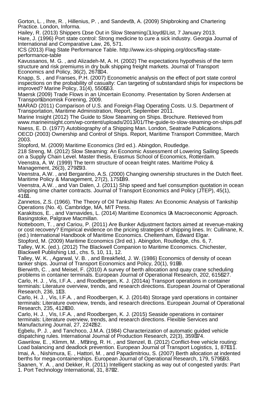Gorton, L., Ihre, R., Hillenius, P., and Sandevrn, A. (2009) Shipbroking and Chartering Practice. London, Informa.

Hailey, R. (2013) Shippers Lose Out in Slow Steaming, Lloyds List, 7 January 2013. Hare, J. (1996) Port state control: Strong medicine to cure a sick industry. Georgia Journal of International and Comparative Law, 26, 571.

ICS (2013) Flag State Performance Table. http://www.ics-shipping.org/docs/flag-stateperformance-table

Kavussanos, M. G. , and Alizadeh-M, A. H. (2002) The expectations hypothesis of the term structure and risk premiums in dry bulk shipping freight markets. Journal of Transport Economics and Policy, 36(2), 267â304.

Knapp, S. , and Franses, P.H. (2007) Econometric analysis on the effect of port state control inspections on the probability of casualty: Can targeting of substandard ships for inspections be improved? Marine Policy,  $31(4)$ , 550563.

Maersk (2009) Trade Flows in an Uncertain Economy. Presentation by Soren Andersen at Transportkonomisk Forening, 2009.

MARAD (2011) Comparison of U.S. and Foreign-Flag Operating Costs. U.S. Department of Transportation, Maritime Administration, Report, September 2011.

Marine Insight (2012) The Guide to Slow Steaming on Ships. Brochure. Retrieved from www.marineinsight.com/wp-content/uploads/2013/01/The-guide-to-slow-steaming-on-ships.pdf Naess, E. D. (1977) Autobiography of a Shipping Man. London, Seatrade Publications.

OECD (2003) Ownership and Control of Ships. Report, Maritime Transport Committee, March 2003.

Stopford, M. (2009) Maritime Economics (3rd ed.). Abingdon, Routledge.

218 Streng, M. (2012) Slow Steaming: An Economic Assessment of Lowering Sailing Speeds on a Supply Chain Level. Master thesis, Erasmus School of Economics, Rotterdam.

Veenstra, A. W. (1999) The term structure of ocean freight rates. Maritime Policy & Management, 26(3), 279293.

Veenstra, A.W. , and Bergantino, A.S. (2000) Changing ownership structures in the Dutch fleet. Maritime Policy & Management, 27(2), 175189.

Veenstra, A.W. , and Van Dalen, J. (2011) Ship speed and fuel consumption quotation in ocean shipping time charter contracts. Journal of Transport Economics and Policy (JTEP), 45(1), 4161.

Zannetos, Z.S. (1966). The Theory of Oil Tankship Rates: An Economic Analysis of Tankship Operations (No. 4). Cambridge, MA, MIT Press.

Karakitsos, E., and Varnavides, L. (2014) Maritime Economics A Macroeconomic Approach. Basingstoke, Palgrave Macmillan.

Notteboom, T. , and Cariou, P. (2011) Are Bunker Adjustment factors aimed at revenue-making or cost recovery? Empirical evidence on the pricing strategies of shipping lines. In: Cullinane, K. (ed.) International Handbook of Maritime Economics. Cheltenham, Edward Elgar.

Stopford, M. (2009) Maritime Economics (3rd ed.). Abingdon, Routledge, chs. 6, 7. Talley, W.K. (ed.). (2012) The Blackwell Companion to Maritime Economics. Chichester, Blackwell Publishing Ltd., chs. 5, 10, 11, 12.

Talley, W. K. , Agarwal, V. B. , and Breakfield, J. W. (1986) Economics of density of ocean tanker ships. Journal of Transport Economics and Policy, 20(1), 9199.

Bierwirth, C. , and Meisel, F. (2010) A survey of berth allocation and quay crane scheduling problems in container terminals. European Journal of Operational Research, 202, 615627. Carlo, H. J. , Vis, I.F.A. , and Roodbergen, K. J. (2014a) Transport operations in container terminals: Literature overview, trends, and research directions. European Journal of Operational Research, 236, 113.

Carlo, H. J. , Vis, I.F.A. , and Roodbergen, K. J. (2014b) Storage yard operations in container terminals: Literature overview, trends, and research directions. European Journal of Operational Research, 235, 412430.

Carlo, H. J. , Vis, I.F.A. , and Roodbergen, K. J. (2015) Seaside operations in container terminals: Literature overview, trends, and research directions. Flexible Services and Manufacturing Journal, 27, 224262.

Egbelu, P. J. , and Tanchoco, J.M.A. (1984) Characterization of automatic guided vehicle dispatching rules. International Journal of Production Research, 22(3), 359â374.

Gawrilow, E., Klimm, M., Mhring, R. H., and Stenzel, B. (2012) Conflict-free vehicle routing: Load balancing and deadlock prevention. European Journal of Transport Logistics, 1, 87111. Imai, A. , Nishimura, E. , Hattori, M. , and Papadimitriou, S. (2007) Berth allocation at indented berths for mega-containerships. European Journal of Operational Research, 179, 579593. Saanen, Y. A. , and Dekker, R. (2011) Intelligent stacking as way out of congested yards: Part 1. Port Technology International, 31, 8792.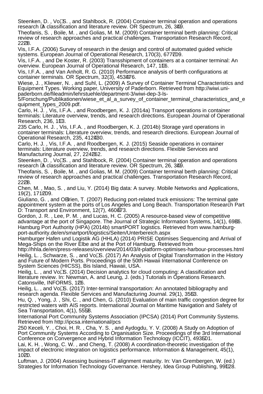Steenken, D., Vo, S., and Stahlbock, R. (2004) Container terminal operation and operations research A classification and literature review. OR Spectrum, 26, 349.

Theofanis, S. , Boile, M. , and Golias, M. M. (2009) Container terminal berth planning: Critical review of research approaches and practical challenges. Transportation Research Record, 2228.

Vis, I.F.A. (2006) Survey of research in the design and control of automated guided vehicle systems. European Journal of Operational Research, 170(3), 677709.

Vis, I.F.A. , and De Koster, R. (2003) Transshipment of containers at a container terminal: An overview. European Journal of Operational Research, 147, 116.

Vis, I.F.A. , and Van Anholt, R. G. (2010) Performance analysis of berth configurations at container terminals. OR Spectrum, 32(3), 453476.

Wiese, J. , Kliewer, N. , and Suhl, L. (2009) A Survey of Container Terminal Characteristics and Equipment Types. Working paper, University of Paderborn. Retrieved from http://wiwi.unipaderborn.de/fileadmin/lehrstuehle/department-3/wiwi-dep-3-ls-

5/Forschung/Publikationen/wiese et al a survey of container terminal characteristics and e quipment\_types\_2009.pdf.

Carlo, H. J. , Vis, I.F.A. , and Roodbergen, K. J. (2014a) Transport operations in container terminals: Literature overview, trends, and research directions. European Journal of Operational Research, 236, 113.

235 Carlo, H. J. , Vis, I.F.A. , and Roodbergen, K. J. (2014b) Storage yard operations in container terminals: Literature overview, trends, and research directions. European Journal of Operational Research, 235, 412430.

Carlo, H. J. , Vis, I.F.A. , and Roodbergen, K. J. (2015) Seaside operations in container terminals: Literature overview, trends, and research directions. Flexible Services and Manufacturing Journal, 27, 224262.

Steenken, D., Vo, S., and Stahlbock, R. (2004) Container terminal operation and operations research A classification and literature review. OR Spectrum, 26, 349.

Theofanis, S. , Boile, M. , and Golias, M. M. (2009) Container terminal berth planning: Critical review of research approaches and practical challenges. Transportation Research Record, 2228.

Chen, M. , Mao, S. , and Liu, Y. (2014) Big data: A survey. Mobile Networks and Applications, 19(2), 171209.

Giuliano. G., and OBrien, T. (2007) Reducing port-related truck emissions: The terminal gate appointment system at the ports of Los Angeles and Long Beach. Transportation Research Part D: Transport and Environment, 12(7), 460473.

Gordon, J. R. , Lee, P. M. , and Lucas, H. C. (2005) A resource-based view of competitive advantage at the port of Singapore. The Journal of Strategic Information Systems, 14(1), 6986. Hamburg Port Authority (HPA) (2014b) smartPORT logistics. Retrieved from www.hamburgport-authority.de/en/smartport/logistics/Seiten/Unterbereich.aspx

Hamburger Hafen und Logistik AG (HHLA) (2014) PRISE Optimises Sequencing and Arrival of Mega-Ships on the River Elbe and at the Port of Hamburg. Retrieved from

http://hhla.de/en/press-releases/overview/2014/03/it-platform-optimises-harbour-processes.html Heilig, L., Schwarze, S., and Vo, S. (2017) An Analysis of Digital Transformation in the History and Future of Modern Ports. Proceedings of the 50th Hawaii International Conference on System Sciences (HICSS), Bis Island, Hawaii, USA.

Heilig, L., and Vo. S. (2014) Decision analytics for cloud computing: A classification and literature review. In: Newman, A. and Leung, J. (eds.) Tutorials in Operations Research. Catonsville, INFORMS, 126.

Heilig, L., and Vo, S. (2017) Inter-terminal transportation: An annotated bibliography and research agenda. Flexible Services and Manufacturing Journal. 29(1), 35â63.

Hu, Q. , Yong, J. , Shi, C. , and Chen, G. (2010) Evaluation of main traffic congestion degree for restricted waters with AIS reports. International Journal on Maritime Navigation and Safety of Sea Transportation, 4(1), 5558.

International Port Community Systems Association (IPCSA) (2014) Port Community Systems. Retrieved from http://ipcsa.international/pcs

250 Keceli, Y. , Choi, H. R. , Cha, Y. S. , and Aydogdu, Y. V. (2008) A Study on Adoption of Port Community Systems According to Organisation Size. Proceedings of the 3rd International Conference on Convergence and Hybrid Information Technology (ICCIT), 493501.

Lai, K. H. , Wong, C. W. , and Cheng, T. (2008) A coordination-theoretic investigation of the impact of electronic integration on logistics performance. Information & Management, 45(1), 10â20.

Luftman, J. (2004) Assessing business-IT alignment maturity. In: Van Grembergen, W. (ed.) Strategies for Information Technology Governance. Hershey, Idea Group Publishing, 99128.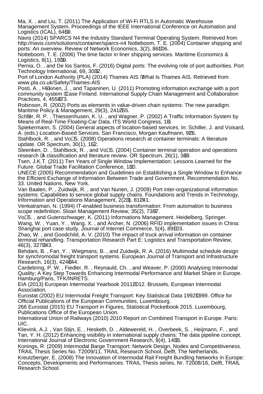Ma, X. , and Liu, T. (2011) The Application of Wi-Fi RTLS in Automatic Warehouse Management System. Proceedings of the IEEE International Conference on Automation and Logistics (ICAL), 6469.

Navis (2014) SPARCS N4 the Industry Standard Terminal Operating System. Retrieved from http://navis.com/solutions/container/sparcs-n4 Notteboom, T. E. (2004) Container shipping and ports: An overview. Review of Network Economics, 3(2), 86106.

Notteboom, T. E. (2006) The time factor in liner shipping services. Maritime Economics & Logistics, 8(1), 19â39.

Pernia, O. , and De los Santos, F. (2016) Digital ports: The evolving role of port authorities. Port Technology International, 69, 3032.

Port of London Authority (PLA) (2014) Thames AIS What Is Thames AIS. Retrieved from www.pla.co.uk/Safety/Thames-AIS

Posti, A., Hkkinen, J., and Tapaninen, U. (2011) Promoting information exchange with a port community system Case Finland. International Supply Chain Management and Collaboration Practices, 4, 455473.

Robinson, R. (2002) Ports as elements in value-driven chain systems: The new paradigm. Maritime Policy & Management, 29(3), 241255.

Schfer, R. P., Thiessenhusen, K. U., and Wagner, P. (2002) A Traffic Information System by Means of Real-Time Floating-Car Data. ITS World Congress, 18.

Spiekermann, S. (2004) General aspects of location-based services. In: Schiller, J. and Voisard, A. (eds.) Location-Based Services. San Francisco, Morgan Kaufmann, 926.

Stahlbock, R., and Vo, S. (2008) Operations research at container terminals: A literature update. OR Spectrum,  $30(1)$ ,  $152$ .

Steenken, D., Stahlbock, R., and Vo, S. (2004) Container terminal operation and operations research A classification and literature review. OR Spectrum, 26(1), 349.

Tsen, J.K.T. (2011) Ten Years of Single Window Implementation: Lessons Learned for the Future. Global Trade Facilitation Conference, 1â30.

UNECE (2005) Recommendation and Guidelines on Establishing a Single Window to Enhance the Efficient Exchange of Information Between Trade and Government. Recommendation No. 33. United Nations, New York.

Van Baalen, P. , Zuidwijk, R. , and Van Nunen, J. (2009) Port inter-organizational information systems: Capabilities to service global supply chains. Foundations and Trends in Technology, Information and Operations Management, 2(23), 81241.

Venkatraman, N. (1994) IT-enabled business transformation: From automation to business scope redefinition. Sloan Management Review, 35(2), 7387.

Vo, S., and Gutenschwager, K. (2011) Informations Management. Heidelberg, Springer. Wang, W. , Yuan, Y. , Wang, X. , and Archer, N. (2006) RFID implementation issues in China: Shanghai port case study. Journal of Internet Commerce, 5(4), 89103.

Zhao, W. , and Goodchild, A. V. (2010) The impact of truck arrival information on container terminal rehandling. Transportation Research Part E: Logistics and Transportation Review, 46(3), 327343.

Behdani, B. , Fan, Y. , Wiegmans, B. , and Zuidwijk, R. A. (2016) Multimodal schedule design for synchromodal freight transport systems. European Journal of Transport and Infrastructure Research, 16(3), 424â444.

Cardebring, P. W. , Fiedler, R. , Reynauld, Ch. , and Weaver, P. (2000) Analysing Intermodal Quality; A Key Step Towards Enhancing Intermodal Performance and Market Share in Europe. Hamburg/Paris, TFK/INRETS.

EIA (2013) European Intermodal Yearbook 20112012. Brussels, European Intermodal Association.

Eurostat (2002) EU Intermodal Freight Transport: Key Statistical Data 19921999. Office for Official Publications of the European Communities, Luxembourg.

266 Eurostat (2015) EU Transport in Figures, Statistical Pocketbook 2015. Luxembourg, Publications Office of the European Union.

International Union of Railways (2010) 2010 Report on Combined Transport in Europe. Paris: UIC.

Klievink, A.J. , Van Stijn, E. , Hesketh, D. , Aldewereld, H. , Overbeek, S. , Heijmann, F. , and Tan, Y. H. (2012) Enhancing visibility in international supply chains: The data pipeline concept. International Journal of Electronic Government Research, 8(4), 1433.

Konings, R. (2009) Intermodal Barge Transport: Network Design, Nodes and Competitiveness. TRAIL Thesis Series No. T2009/11, TRAIL Research School, Delft, The Netherlands.

Kreutzberger, E. (2008) The Innovation of Intermodal Rail Freight Bundling Networks in Europe: Concepts, Developments and Performances. TRAIL Thesis series, Nr. T2008/16, Delft, TRAIL Research School.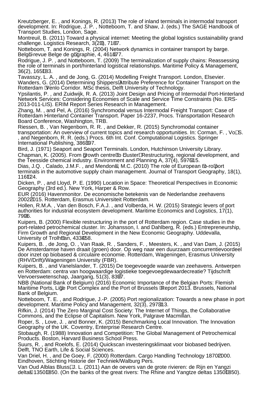Kreutzberger, E. , and Konings, R. (2013) The role of inland terminals in intermodal transport development. In: Rodrigue, J. P. , Notteboom, T. and Shaw, J. (eds.) The SAGE Handbook of Transport Studies, London, Sage.

Montreuil, B. (2011) Toward a physical internet: Meeting the global logistics sustainability grand challenge. Logistics Research, 3(23), 7187.

Notteboom, T. and Konings, R. (2004) Network dynamics in container transport by barge. Belgo-revue Belge de gographie, 4, 461477.

Rodrigue, J. P. , and Notteboom, T. (2009) The terminalization of supply chains: Reassessing the role of terminals in port/hinterland logistical relationships. Maritime Policy & Management, 36(2), 165183.

Tavasszy, L. A. , and de Jong, G. (2014) Modelling Freight Transport. London, Elsevier. Wanders, G. (2014) Determining Shippers Attribute Preference for Container Transport on the Rotterdam Venlo Corridor. MSc thesis, Delft University of Technology.

Ypsilantis, P. , and Zuidwijk, R. A. (2013) Joint Design and Pricing of Intermodal Port-Hinterland Network Services: Considering Economies of Scale and Service Time Constraints (No. ERS-2013-011-LIS). ERIM Report Series Research in Management.

Zhang, M. , and Pel, A. (2016) Synchromodal versus Intermodal Freight Transport: Case of Rotterdam Hinterland Container Transport. Paper 16-2237, Procs. Transportation Research Board Conference, Washington, TRB.

Riessen, B. , Van Negenborn, R. R. , and Dekker, R. (2015) Synchromodal container transportation: An overview of current topics and research opportunities. In: Corman, F., Vo, S. , and Negenborn, R. R. (eds.) Procs. 6th Int. Conf. Computational Logistics. Springer International Publishing, 386â397.

Bird, J. (1971) Seaport and Seaport Terminals. London, Hutchinson University Library. Chapman, K. (2005). From growth centre to cluster: Restructuring, regional development, and the Teesside chemical industry. Environment and Planning A,  $37(4)$ , 597615.

Dias, J.Q., Calado, J.M.F., and Mendona, M.C. (2010) The role of European ro-ro port terminals in the automotive supply chain management. Journal of Transport Geography, 18(1), 116124.

Dicken, P. , and Lloyd, P. E. (1990) Location in Space: Theoretical Perspectives in Economic Geography (3rd ed.). New York, Harper & Row.

EUR (2016) Havenmonitor. De economische betekenis van de Nederlandse zeehavens 2002â2015. Rotterdam, Erasmus Universiteit Rotterdam.

Hollen, R.M.A. , Van den Bosch, F.A.J. , and Volberda, H. W. (2015) Strategic levers of port authorities for industrial ecosystem development. Maritime Economics and Logistics, 17(1), 7996.

Kuipers, B. (2000) Flexible restructuring in the port of Rotterdam region. Case studies in the port-related petrochemical cluster. In: Johansson, I. and Dahlberg, R. (eds.) Entrepreneurship, Firm Growth and Regional Development in the New Economic Geography. Uddevalla, University of Trolhttan, 433458.

Kuipers, B. , de Jong, O. , Van Raak, R. , Sanders, F. , Meesters, K. , and Van Dam, J. (2015) De Amsterdamse haven draait (groen) door. Op weg naar een duurzaam concurrentievoordeel door inzet op biobased & circulaire economie. Rotterdam, Wageningen, Erasmus University (RHV/Drift)/Wageningen University (FBR).

Kuipers, B. , and Vanelslander, T. (2015) De toegevoegde waarde van zeehavens. Antwerpen en Rotterdam: centra van hoogwaardige logistieke toegevoegdewaardecreatie? Tijdschrift Vervoerswetenschap, Jaargang, 51(3), 8397.

NBB (National Bank of Belgium) (2016) Economic Importance of the Belgian Ports: Flemish Maritime Ports, Lige Port Complex and the Port of Brussels Report 2013. Brussels, National Bank of Belgium.

Notteboom, T. E. , and Rodrigue, J.-P. (2005) Port regionalization: Towards a new phase in port development. Maritime Policy and Management, 32(3), 297313.

Rifkin, J. (2014) The Zero Marginal Cost Society: The Internet of Things, the Collaborative Commons, and the Eclipse of Capitalism. New York, Palgrave Macmillan.

Roper, S. , Love, J. , and Bonner, K. (2015) Benchmarking Local Innovation. The Innovation Geography of the UK. Coventry, Enterprise Research Centre.

Stobaugh, R. (1988) Innovation and Competition: The Global Management of Petrochemical Products. Boston, Harvard Business School Press.

Suurs, R. , and Roelofs, E. (2014) Quickscan investeringsklimaat voor biobased bedrijven. Delft, TNO Earth, Life & Social Sciences.

Van Driel, H., and De Goey, F. (2000) Rotterdam. Cargo Handling Technology 18702000. Eindhoven, Stichting Historie der Techniek/Walburg Pers.

Van Oud Alblas Bluss, J. L. (2011) Aan de oevers van de grote rivieren: de Rijn en Yangzi deltas 13501850. (On the banks of the great rivers: The Rhine and Yangtze deltas 13501850).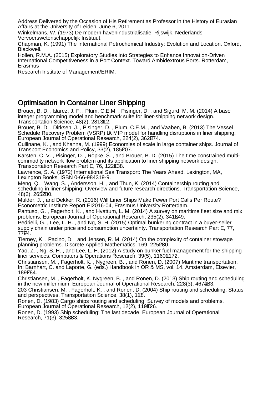Address Delivered by the Occasion of His Retirement as Professor in the History of Eurasian Affairs at the University of Leiden, June 6, 2011.

Winkelmans, W. (1973) De modern havenindustrialisatie. Rijswijk, Nederlands Vervoerswetenschappelijk Instituut.

Chapman, K. (1991) The International Petrochemical Industry: Evolution and Location. Oxford, Blackwell.

Hollen, R.M.A. (2015) Exploratory Studies into Strategies to Enhance Innovation-Driven International Competitiveness in a Port Context. Toward Ambidextrous Ports. Rotterdam, **Erasmus** 

Research Institute of Management/ERIM.

#### Optimisation in Container Liner Shipping

Brouer, B. D., Ivarez, J. F., Plum, C.E.M., Pisinger, D., and Sigurd, M. M. (2014) A base integer programming model and benchmark suite for liner-shipping network design. Transportation Science, 48(2), 281â312.

Brouer, B. D. , Dirksen, J. , Pisinger, D. , Plum, C.E.M. , and Vaaben, B. (2013) The Vessel Schedule Recovery Problem (VSRP) â A MIP model for handling disruptions in liner shipping. European Journal of Operational Research, 224(2), 362374.

Cullinane, K. , and Khanna, M. (1999) Economies of scale in large container ships. Journal of Transport Economics and Policy, 33(2), 185207.

Karsten, C. V. , Pisinger, D. , Ropke, S. , and Brouer, B. D. (2015) The time constrained multicommodity network flow problem and its application to liner shipping network design. Transportation Research Part E, 76, 122138.

Lawrence, S. A. (1972) International Sea Transport: The Years Ahead. Lexington, MA, Lexington Books, ISBN 0-66-984319-9.

Meng, Q. , Wang, S. , Andersson, H. , and Thun, K. (2014) Containership routing and scheduling in liner shipping: Overview and future research directions. Transportation Science, 48(2), 265280.

Mulder, J. , and Dekker, R. (2016) Will Liner Ships Make Fewer Port Calls Per Route? Econometric Institute Report EI2016-04, Erasmus University Rotterdam.

Pantuso, G. , Fagerholt, K. , and Hvattum, L. M. (2014) A survey on maritime fleet size and mix problems. European Journal of Operational Research, 235(2), 341â349.

Pedrielli, G. , Lee, L. H. , and Ng, S. H. (2015) Optimal bunkering contract in a buyer-seller supply chain under price and consumption uncertainty. Transportation Research Part E, 77, 7794.

Tierney, K. , Pacino, D. , and Jensen, R. M. (2014) On the complexity of container stowage planning problems. Discrete Applied Mathematics, 169, 225230.

Yao, Z. , Ng, S. H. , and Lee, L. H. (2012) A study on bunker fuel management for the shipping liner services. Computers & Operations Research, 39(5), 11601172.

Christiansen, M. , Fagerholt, K. , Nygreen, B. , and Ronen, D. (2007) Maritime transportation. In: Barnhart, C. and Laporte, G. (eds.) Handbook in OR & MS, vol. 14. Amsterdam, Elsevier, 189284.

Christiansen, M. , Fagerholt, K. Nygreen, B. , and Ronen, D. (2013) Ship routing and scheduling in the new millennium. European Journal of Operational Research, 228(3), 467â483.

203 Christiansen, M. , Fagerholt, K. , and Ronen, D. (2004) Ship routing and scheduling: Status and perspectives. Transportation Science, 38(1), 118.

Ronen, D. (1983) Cargo ships routing and scheduling: Survey of models and problems. European Journal of Operational Research, 12(2), 119126.

Ronen, D. (1993) Ship scheduling: The last decade. European Journal of Operational Research, 71(3), 325â333.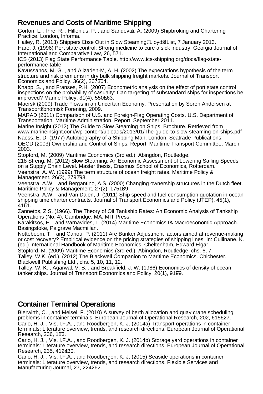#### Revenues and Costs of Maritime Shipping

Gorton, L., Ihre, R., Hillenius, P., and Sandevrn, A. (2009) Shipbroking and Chartering Practice. London, Informa.

Hailey, R. (2013) Shippers Lose Out in Slow Steaming. Lloyds List, 7 January 2013. Hare, J. (1996) Port state control: Strong medicine to cure a sick industry. Georgia Journal of International and Comparative Law, 26, 571.

ICS (2013) Flag State Performance Table. http://www.ics-shipping.org/docs/flag-stateperformance-table

Kavussanos, M. G. , and Alizadeh-M, A. H. (2002) The expectations hypothesis of the term structure and risk premiums in dry bulk shipping freight markets. Journal of Transport Economics and Policy, 36(2), 267304.

Knapp, S. , and Franses, P.H. (2007) Econometric analysis on the effect of port state control inspections on the probability of casualty: Can targeting of substandard ships for inspections be  $improved$ ? Marine Policy,  $31(4)$ , 550563.

Maersk (2009) Trade Flows in an Uncertain Economy. Presentation by Soren Andersen at Transportkonomisk Forening, 2009.

MARAD (2011) Comparison of U.S. and Foreign-Flag Operating Costs. U.S. Department of Transportation, Maritime Administration, Report, September 2011.

Marine Insight (2012) The Guide to Slow Steaming on Ships. Brochure. Retrieved from www.marineinsight.com/wp-content/uploads/2013/01/The-guide-to-slow-steaming-on-ships.pdf Naess, E. D. (1977) Autobiography of a Shipping Man. London, Seatrade Publications. OECD (2003) Ownership and Control of Ships. Report, Maritime Transport Committee, March 2003.

Stopford, M. (2009) Maritime Economics (3rd ed.). Abingdon, Routledge.

218 Streng, M. (2012) Slow Steaming: An Economic Assessment of Lowering Sailing Speeds on a Supply Chain Level. Master thesis, Erasmus School of Economics, Rotterdam. Veenstra, A. W. (1999) The term structure of ocean freight rates. Maritime Policy & Management, 26(3), 279293.

Veenstra, A.W. , and Bergantino, A.S. (2000) Changing ownership structures in the Dutch fleet. Maritime Policy & Management, 27(2), 175189.

Veenstra, A.W. , and Van Dalen, J. (2011) Ship speed and fuel consumption quotation in ocean shipping time charter contracts. Journal of Transport Economics and Policy (JTEP), 45(1), 4161.

Zannetos, Z.S. (1966). The Theory of Oil Tankship Rates: An Economic Analysis of Tankship Operations (No. 4). Cambridge, MA, MIT Press.

Karakitsos, E., and Varnavides, L. (2014) Maritime Economics A Macroeconomic Approach. Basingstoke, Palgrave Macmillan.

Notteboom, T. , and Cariou, P. (2011) Are Bunker Adjustment factors aimed at revenue-making or cost recovery? Empirical evidence on the pricing strategies of shipping lines. In: Cullinane, K. (ed.) International Handbook of Maritime Economics. Cheltenham, Edward Elgar.

Stopford, M. (2009) Maritime Economics (3rd ed.). Abingdon, Routledge, chs. 6, 7.

Talley, W.K. (ed.). (2012) The Blackwell Companion to Maritime Economics. Chichester, Blackwell Publishing Ltd., chs. 5, 10, 11, 12.

Talley, W. K. , Agarwal, V. B. , and Breakfield, J. W. (1986) Economics of density of ocean tanker ships. Journal of Transport Economics and Policy, 20(1), 9199.

#### Container Terminal Operations

Bierwirth, C. , and Meisel, F. (2010) A survey of berth allocation and quay crane scheduling problems in container terminals. European Journal of Operational Research, 202, 615627. Carlo, H. J. , Vis, I.F.A. , and Roodbergen, K. J. (2014a) Transport operations in container terminals: Literature overview, trends, and research directions. European Journal of Operational Research, 236, 113.

Carlo, H. J. , Vis, I.F.A. , and Roodbergen, K. J. (2014b) Storage yard operations in container terminals: Literature overview, trends, and research directions. European Journal of Operational Research, 235, 412430.

Carlo, H. J. , Vis, I.F.A. , and Roodbergen, K. J. (2015) Seaside operations in container terminals: Literature overview, trends, and research directions. Flexible Services and Manufacturing Journal, 27, 224262.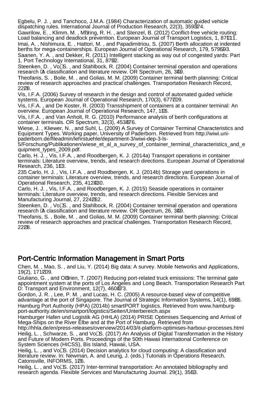Egbelu, P. J. , and Tanchoco, J.M.A. (1984) Characterization of automatic guided vehicle dispatching rules. International Journal of Production Research, 22(3), 359â374.

Gawrilow, E. , Klimm, M. , Möhring, R. H. , and Stenzel, B. (2012) Conflict-free vehicle routing: Load balancing and deadlock prevention. European Journal of Transport Logistics, 1, 87111. Imai, A. , Nishimura, E. , Hattori, M. , and Papadimitriou, S. (2007) Berth allocation at indented berths for mega-containerships. European Journal of Operational Research, 179, 579593. Saanen, Y. A. , and Dekker, R. (2011) Intelligent stacking as way out of congested yards: Part 1. Port Technology International, 31, 8792.

Steenken, D., Vo, S., and Stahlbock, R. (2004) Container terminal operation and operations research A classification and literature review. OR Spectrum, 26, 349.

Theofanis, S. , Boile, M. , and Golias, M. M. (2009) Container terminal berth planning: Critical review of research approaches and practical challenges. Transportation Research Record, 2228.

Vis, I.F.A. (2006) Survey of research in the design and control of automated guided vehicle systems. European Journal of Operational Research, 170(3), 677709.

Vis, I.F.A. , and De Koster, R. (2003) Transshipment of containers at a container terminal: An overview. European Journal of Operational Research, 147, 116.

Vis, I.F.A. , and Van Anholt, R. G. (2010) Performance analysis of berth configurations at container terminals. OR Spectrum, 32(3), 453476.

Wiese, J. , Kliewer, N. , and Suhl, L. (2009) A Survey of Container Terminal Characteristics and Equipment Types. Working paper, University of Paderborn. Retrieved from http://wiwi.unipaderborn.de/fileadmin/lehrstuehle/department-3/wiwi-dep-3-ls-

5/Forschung/Publikationen/wiese\_et\_al\_a\_survey\_of\_container\_terminal\_characteristics\_and\_e quipment\_types\_2009.pdf.

Carlo, H. J. , Vis, I.F.A. , and Roodbergen, K. J. (2014a) Transport operations in container terminals: Literature overview, trends, and research directions. European Journal of Operational Research, 236, 113.

235 Carlo, H. J. , Vis, I.F.A. , and Roodbergen, K. J. (2014b) Storage yard operations in container terminals: Literature overview, trends, and research directions. European Journal of Operational Research, 235, 412430.

Carlo, H. J. , Vis, I.F.A. , and Roodbergen, K. J. (2015) Seaside operations in container terminals: Literature overview, trends, and research directions. Flexible Services and Manufacturing Journal, 27, 224262.

Steenken, D., Vo, S., and Stahlbock, R. (2004) Container terminal operation and operations research A classification and literature review. OR Spectrum, 26, 349.

Theofanis, S. , Boile, M. , and Golias, M. M. (2009) Container terminal berth planning: Critical review of research approaches and practical challenges. Transportation Research Record, 2228.

#### Port-Centric Information Management in Smart Ports

Chen, M. , Mao, S. , and Liu, Y. (2014) Big data: A survey. Mobile Networks and Applications, 19(2), 171209.

Giuliano, G., and OBrien, T. (2007) Reducing port-related truck emissions: The terminal gate appointment system at the ports of Los Angeles and Long Beach. Transportation Research Part D: Transport and Environment, 12(7), 460473.

Gordon, J. R. , Lee, P. M. , and Lucas, H. C. (2005) A resource-based view of competitive advantage at the port of Singapore. The Journal of Strategic Information Systems, 14(1), 6986. Hamburg Port Authority (HPA) (2014b) smartPORT logistics. Retrieved from www.hamburgport-authority.de/en/smartport/logistics/Seiten/Unterbereich.aspx

Hamburger Hafen und Logistik AG (HHLA) (2014) PRISE Optimises Sequencing and Arrival of Mega-Ships on the River Elbe and at the Port of Hamburg. Retrieved from

http://hhla.de/en/press-releases/overview/2014/03/it-platform-optimises-harbour-processes.html Heilig, L., Schwarze, S., and Vo, S. (2017) An Analysis of Digital Transformation in the History and Future of Modern Ports. Proceedings of the 50th Hawaii International Conference on System Sciences (HICSS), Bis Island, Hawaii, USA.

Heilig, L., and Vo, S. (2014) Decision analytics for cloud computing: A classification and literature review. In: Newman, A. and Leung, J. (eds.) Tutorials in Operations Research. Catonsville, INFORMS, 126.

Heilig, L., and Vo, S. (2017) Inter-terminal transportation: An annotated bibliography and research agenda. Flexible Services and Manufacturing Journal. 29(1), 3563.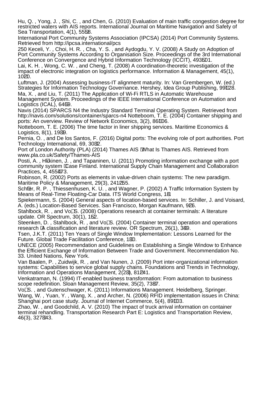Hu, Q. , Yong, J. , Shi, C. , and Chen, G. (2010) Evaluation of main traffic congestion degree for restricted waters with AIS reports. International Journal on Maritime Navigation and Safety of Sea Transportation, 4(1), 5558.

International Port Community Systems Association (IPCSA) (2014) Port Community Systems. Retrieved from http://ipcsa.international/pcs

250 Keceli, Y. , Choi, H. R. , Cha, Y. S. , and Aydogdu, Y. V. (2008) A Study on Adoption of Port Community Systems According to Organisation Size. Proceedings of the 3rd International Conference on Convergence and Hybrid Information Technology (ICCIT), 493501.

Lai, K. H. , Wong, C. W. , and Cheng, T. (2008) A coordination-theoretic investigation of the impact of electronic integration on logistics performance. Information & Management, 45(1), 10â20.

Luftman, J. (2004) Assessing business-IT alignment maturity. In: Van Grembergen, W. (ed.) Strategies for Information Technology Governance. Hershey, Idea Group Publishing, 99128. Ma, X. , and Liu, T. (2011) The Application of Wi-Fi RTLS in Automatic Warehouse

Management System. Proceedings of the IEEE International Conference on Automation and Logistics (ICAL), 6469.

Navis (2014) SPARCS N4 the Industry Standard Terminal Operating System. Retrieved from http://navis.com/solutions/container/sparcs-n4 Notteboom, T. E. (2004) Container shipping and ports: An overview. Review of Network Economics, 3(2), 86106.

Notteboom, T. E. (2006) The time factor in liner shipping services. Maritime Economics & Logistics, 8(1), 19â39.

Pernia, O. , and De los Santos, F. (2016) Digital ports: The evolving role of port authorities. Port Technology International, 69, 3032.

Port of London Authority (PLA) (2014) Thames AIS What Is Thames AIS. Retrieved from www.pla.co.uk/Safety/Thames-AIS

Posti, A., Hkkinen, J., and Tapaninen, U. (2011) Promoting information exchange with a port community system Case Finland. International Supply Chain Management and Collaboration Practices, 4, 455â473.

Robinson, R. (2002) Ports as elements in value-driven chain systems: The new paradigm. Maritime Policy & Management, 29(3), 241255.

Schfer, R. P., Thiessenhusen, K. U., and Wagner, P. (2002) A Traffic Information System by Means of Real-Time Floating-Car Data. ITS World Congress, 18.

Spiekermann, S. (2004) General aspects of location-based services. In: Schiller, J. and Voisard, A. (eds.) Location-Based Services. San Francisco, Morgan Kaufmann, 926.

Stahlbock, R., and Vo, S. (2008) Operations research at container terminals: A literature update. OR Spectrum,  $30(1)$ ,  $152$ .

Steenken, D. , Stahlbock, R. , and Vo, S. (2004) Container terminal operation and operations research A classification and literature review. OR Spectrum, 26(1), 349.

Tsen, J.K.T. (2011) Ten Years of Single Window Implementation: Lessons Learned for the Future. Global Trade Facilitation Conference, 1â30.

UNECE (2005) Recommendation and Guidelines on Establishing a Single Window to Enhance the Efficient Exchange of Information Between Trade and Government. Recommendation No. 33. United Nations, New York.

Van Baalen, P. , Zuidwijk, R. , and Van Nunen, J. (2009) Port inter-organizational information systems: Capabilities to service global supply chains. Foundations and Trends in Technology, Information and Operations Management, 2(23), 81241.

Venkatraman, N. (1994) IT-enabled business transformation: From automation to business scope redefinition. Sloan Management Review, 35(2), 7387.

Vo, S., and Gutenschwager, K. (2011) Informations Management. Heidelberg, Springer. Wang, W. , Yuan, Y. , Wang, X. , and Archer, N. (2006) RFID implementation issues in China: Shanghai port case study. Journal of Internet Commerce, 5(4), 89103.

Zhao, W. , and Goodchild, A. V. (2010) The impact of truck arrival information on container terminal rehandling. Transportation Research Part E: Logistics and Transportation Review, 46(3), 327343.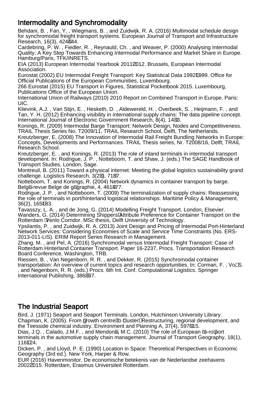#### Intermodality and Synchromodality

Behdani, B. , Fan, Y. , Wiegmans, B. , and Zuidwijk, R. A. (2016) Multimodal schedule design for synchromodal freight transport systems. European Journal of Transport and Infrastructure Research, 16(3), 424â444.

Cardebring, P. W. , Fiedler, R. , Reynauld, Ch. , and Weaver, P. (2000) Analysing Intermodal Quality; A Key Step Towards Enhancing Intermodal Performance and Market Share in Europe. Hamburg/Paris, TFK/INRETS.

EIA (2013) European Intermodal Yearbook 2011â2012. Brussels, European Intermodal Association.

Eurostat (2002) EU Intermodal Freight Transport: Key Statistical Data 19921999. Office for Official Publications of the European Communities, Luxembourg.

266 Eurostat (2015) EU Transport in Figures, Statistical Pocketbook 2015. Luxembourg, Publications Office of the European Union.

International Union of Railways (2010) 2010 Report on Combined Transport in Europe. Paris: UIC.

Klievink, A.J. , Van Stijn, E. , Hesketh, D. , Aldewereld, H. , Overbeek, S. , Heijmann, F. , and Tan, Y. H. (2012) Enhancing visibility in international supply chains: The data pipeline concept. International Journal of Electronic Government Research, 8(4), 1433.

Konings, R. (2009) Intermodal Barge Transport: Network Design, Nodes and Competitiveness. TRAIL Thesis Series No. T2009/11, TRAIL Research School, Delft, The Netherlands.

Kreutzberger, E. (2008) The Innovation of Intermodal Rail Freight Bundling Networks in Europe: Concepts, Developments and Performances. TRAIL Thesis series, Nr. T2008/16, Delft, TRAIL Research School.

Kreutzberger, E. , and Konings, R. (2013) The role of inland terminals in intermodal transport development. In: Rodrigue, J. P. , Notteboom, T. and Shaw, J. (eds.) The SAGE Handbook of Transport Studies, London, Sage.

Montreuil, B. (2011) Toward a physical internet: Meeting the global logistics sustainability grand challenge. Logistics Research, 3(23), 7187.

Notteboom, T. and Konings, R. (2004) Network dynamics in container transport by barge. Belgo-revue Belge de gographie, 4, 461477.

Rodrigue, J. P. , and Notteboom, T. (2009) The terminalization of supply chains: Reassessing the role of terminals in port/hinterland logistical relationships. Maritime Policy & Management, 36(2), 165183.

Tavasszy, L. A. , and de Jong, G. (2014) Modelling Freight Transport. London, Elsevier. Wanders, G. (2014) Determining Shippers Attribute Preference for Container Transport on the Rotterdam Venlo Corridor. MSc thesis, Delft University of Technology.

Ypsilantis, P. , and Zuidwijk, R. A. (2013) Joint Design and Pricing of Intermodal Port-Hinterland Network Services: Considering Economies of Scale and Service Time Constraints (No. ERS-2013-011-LIS). ERIM Report Series Research in Management.

Zhang, M. , and Pel, A. (2016) Synchromodal versus Intermodal Freight Transport: Case of Rotterdam Hinterland Container Transport. Paper 16-2237, Procs. Transportation Research Board Conference, Washington, TRB.

Riessen, B. , Van Negenborn, R. R. , and Dekker, R. (2015) Synchromodal container transportation: An overview of current topics and research opportunities. In: Corman, F., Vo, S. , and Negenborn, R. R. (eds.) Procs. 6th Int. Conf. Computational Logistics. Springer International Publishing, 386â397.

### The Industrial Seaport

Bird, J. (1971) Seaport and Seaport Terminals. London, Hutchinson University Library. Chapman, K. (2005). From growth centre to cluster: Restructuring, regional development, and the Teesside chemical industry. Environment and Planning A,  $37(4)$ , 597615.

Dias, J.O., Calado, J.M.F., and Mendona, M.C. (2010) The role of European ro-ro port terminals in the automotive supply chain management. Journal of Transport Geography, 18(1), 116124.

Dicken, P. , and Lloyd, P. E. (1990) Location in Space: Theoretical Perspectives in Economic Geography (3rd ed.). New York, Harper & Row.

EUR (2016) Havenmonitor. De economische betekenis van de Nederlandse zeehavens 20022015. Rotterdam, Erasmus Universiteit Rotterdam.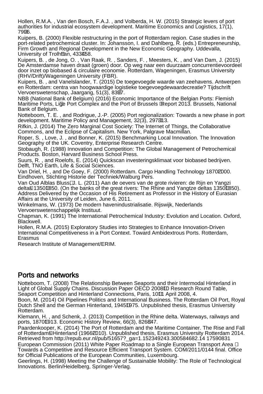Hollen, R.M.A. , Van den Bosch, F.A.J. , and Volberda, H. W. (2015) Strategic levers of port authorities for industrial ecosystem development. Maritime Economics and Logistics, 17(1), 7996.

Kuipers, B. (2000) Flexible restructuring in the port of Rotterdam region. Case studies in the port-related petrochemical cluster. In: Johansson, I. and Dahlberg, R. (eds.) Entrepreneurship, Firm Growth and Regional Development in the New Economic Geography. Uddevalla, University of Trolhttan, 433458.

Kuipers, B. , de Jong, O. , Van Raak, R. , Sanders, F. , Meesters, K. , and Van Dam, J. (2015) De Amsterdamse haven draait (groen) door. Op weg naar een duurzaam concurrentievoordeel door inzet op biobased & circulaire economie. Rotterdam, Wageningen, Erasmus University (RHV/Drift)/Wageningen University (FBR).

Kuipers, B. , and Vanelslander, T. (2015) De toegevoegde waarde van zeehavens. Antwerpen en Rotterdam: centra van hoogwaardige logistieke toegevoegdewaardecreatie? Tijdschrift Vervoerswetenschap, Jaargang, 51(3), 8397.

NBB (National Bank of Belgium) (2016) Economic Importance of the Belgian Ports: Flemish Maritime Ports, Lige Port Complex and the Port of Brussels Report 2013. Brussels, National Bank of Belgium.

Notteboom, T. E. , and Rodrigue, J.-P. (2005) Port regionalization: Towards a new phase in port development. Maritime Policy and Management, 32(3), 297313.

Rifkin, J. (2014) The Zero Marginal Cost Society: The Internet of Things, the Collaborative Commons, and the Eclipse of Capitalism. New York, Palgrave Macmillan.

Roper, S. , Love, J. , and Bonner, K. (2015) Benchmarking Local Innovation. The Innovation Geography of the UK. Coventry, Enterprise Research Centre.

Stobaugh, R. (1988) Innovation and Competition: The Global Management of Petrochemical Products. Boston, Harvard Business School Press.

Suurs, R. , and Roelofs, E. (2014) Quickscan investeringsklimaat voor biobased bedrijven. Delft, TNO Earth, Life & Social Sciences.

Van Driel, H., and De Goey, F. (2000) Rotterdam. Cargo Handling Technology 18702000. Eindhoven, Stichting Historie der Techniek/Walburg Pers.

Van Oud Alblas Bluss, J. L. (2011) Aan de oevers van de grote rivieren: de Rijn en Yangzi deltas 13501850. (On the banks of the great rivers: The Rhine and Yangtze deltas 13501850). Address Delivered by the Occasion of His Retirement as Professor in the History of Eurasian Affairs at the University of Leiden, June 6, 2011.

Winkelmans, W. (1973) De modern havenindustrialisatie. Rijswijk, Nederlands Vervoerswetenschappelijk Instituut.

Chapman, K. (1991) The International Petrochemical Industry: Evolution and Location. Oxford, Blackwell.

Hollen, R.M.A. (2015) Exploratory Studies into Strategies to Enhance Innovation-Driven International Competitiveness in a Port Context. Toward Ambidextrous Ports. Rotterdam, Erasmus

Research Institute of Management/ERIM.

#### Ports and networks

Notteboom, T. (2008) The Relationship Between Seaports and their Intermodal Hinterland in Light of Global Supply Chains. Discussion Paper OECD 200810 Research Round Table, Seaport Competition and Hinterland Connections, Paris, 1011 April 2008, 4.

Boon, M. (2014) Oil Pipelines Politics and International Business. The Rotterdam Oil Port, Royal Dutch Shell and the German Hinterland, 19451975. Unpublished thesis, Erasmus University Rotterdam.

Klemann, H. , and Schenk, J. (2013) Competition in the Rhine delta. Waterways, railways and ports, 18701913. Economic History Review, 66(3), 826847.

Paardenkooper, K. (2014) The Port of Rotterdam and the Maritime Container. The Rise and Fall of Rotterdams Hinterland (19662010). Unpublished thesis, Erasmus University Rotterdam 2014. Retrieved from http://repub.eur.nl/pub/51657?\_ga=1.152349243.300584682.14 17590831 European Commission (2011) White Paper Roadmap to a Single European Transport Area â Towards a Competitive and Resource Efficient Transport System. COM/2011/0144 final. Office for Official Publications of the European Communities, Luxembourg.

Geerlings, H. (1998) Meeting the Challenge of Sustainable Mobility: The Role of Technological Innovations. Berlin/Heidelberg, Springer-Verlag.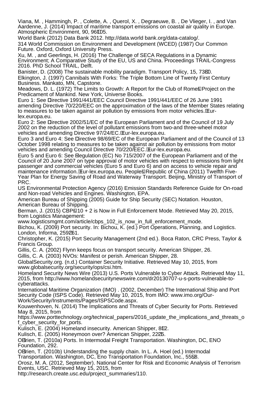Viana, M. , Hammingh, P. , Colette, A. , Querol, X. , Degraeuwe, B. , De Vlieger, I. , and Van Aardenne, J. (2014) Impact of maritime transport emissions on coastal air quality in Europe. Atmospheric Environment, 90, 96105.

World Bank (2012) Data Bank 2012. http://data.world bank.org/data-catalog/. 314 World Commission on Environment and Development (WCED) (1987) Our Common Future. Oxford, Oxford University Press.

Xu, M. , and Geerlings, H. (2016) The Challenge of SECA Regulations in a Dynamic Environment; A Comparative Study of the EU, US and China. Proceedings TRAIL-Congress 2016. PhD School TRAIL, Delft.

Banister, D. (2008) The sustainable mobility paradigm. Transport Policy, 15, 73â80. Elkington, J. (1997) Cannibals With Forks: The Triple Bottom Line of Twenty First Century Business. Mankato, MN, Capstone.

Meadows, D. L. (1972) The Limits to Growth: A Report for the Club of Romes Project on the Predicament of Mankind. New York, Universe Books.

Euro 1: See Directive 1991/441/EEC Council Directive 1991/441/EEC of 26 June 1991 amending Directive 70/220/EEC on the approximation of the laws of the Member States relating to measures to be taken against air pollution by emissions from motor vehicles. Eurlex.europa.eu.

Euro 2: See Directive 2002/51/EC of the European Parliament and of the Council of 19 July 2002 on the reduction of the level of pollutant emissions from two-and three-wheel motor vehicles and amending Directive 97/24/EC. Eur-lex.europa.eu.

Euro 3 and Euro 4: See Directive 98/69/EC of the European Parliament and of the Council of 13 October 1998 relating to measures to be taken against air pollution by emissions from motor vehicles and amending Council Directive 70/220/EEC. Eur-lex.europa.eu.

Euro 5 and Euro 6: See Regulation (EC) No 715/2007 of the European Parliament and of the Council of 20 June 2007 on type approval of motor vehicles with respect to emissions from light passenger and commercial vehicles (Euro 5 and Euro 6) and on access to vehicle repair and maintenance information. Eur-lex.europa.eu. Peoples Republic of China (2011) Twelfth Five-Year Plan for Energy Saving of Road and Waterway Transport. Beijing, Ministry of Transport of PRC.

US Environmental Protection Agency (2016) Emission Standards Reference Guide for On-road and Non-road Vehicles and Engines. Washington, EPA.

American Bureau of Shipping (2005) Guide for Ship Security (SEC) Notation. Houston, American Bureau of Shipping.

Berman, J. (2015) CBPs  $10 + 2$  is Now in Full Enforcement Mode. Retrieved May 20, 2015, from Logistics Management:

www.logisticsmgmt.com/article/cbps\_102\_is\_now\_in\_full\_enforcement\_mode.

Bichou, K. (2009) Port security. In: Bichou, K. (ed.) Port Operations, Planning, and Logistics. London, Informa, 259261.

Christopher, K. (2015) Port Security Management (2nd ed.). Boca Raton, CRC Press, Taylor & Francis Group.

Gillis, C. A. (2002) Flynn keeps focus on transport security. American Shipper, 26.

Gillis, C. A. (2003) NVOs: Manifest or perish. American Shipper, 28.

GlobalSecurity.org. (n.d.) Container Security Initiative. Retrieved May 10, 2015, from www.globalsecurity.org/security/ops/csi.htm.

Homeland Security News Wire (2013) U.S. Ports Vulnerable to Cyber Attack. Retrieved May 11, 2015, from http://www.homelandsecuritynewswire.com/dr20130707-u-s-ports-vulnerable-tocyberattacks.

International Maritime Organization (IMO) . (2002, December) The International Ship and Port Security Code (ISPS Code). Retrieved May 10, 2015, from IMO: www.imo.org/Our-Work/Security/Instruments/Pages/ISPSCode.aspx.

Kouwenhoven, N. (2014) The Implications and Threats of Cyber Security for Ports. Retrieved May 8, 2015, from

https://www.porttechnology.org/technical\_papers/2016\_update\_the\_implications\_and\_threats\_o f cyber security for ports.

Kulisch, E. (2004) Homeland insecurity. American Shipper, 812.

Kulisch, E. (2005) Honeymoon over? American Shipper, 2225.

OBrien, T. (2010a) Ports. In Intermodal Freight Transportation. Washington, DC, ENO Foundation, 292.

OBrien, T. (2010b) Understanding the supply chain. In L. A. Hoel (ed.) Intermodal Transportation. Washington, DC, Eno Transportation Foundation, Inc., 5558.

Orosz, M. A. (2012, September). National Center for Risk and Economic Analysis of Terrorism Events, USC. Retrieved May 15, 2015, from

http://research.create.usc.edu/project\_summaries/110.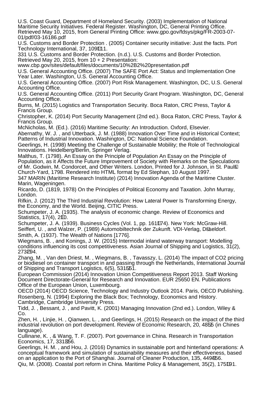U.S. Coast Guard, Department of Homeland Security. (2003) Implementation of National Maritime Security Initiatives. Federal Register. Washington, DC, General Printing Office. Retrieved May 10, 2015, from General Printing Office: www.gpo.gov/fdsys/pkg/FR-2003-07- 01/pdf/03-16186.pdf

U.S. Customs and Border Protection . (2005) Container security initiative: Just the facts. Port Technology International, 37, 109111.

331 U.S. Customs and Border Protection. (n.d.). U.S. Customs and Border Protection. Retrieved May 20, 2015, from  $10 + 2$  Presentation:

www.cbp.gov/sites/default/files/documents/10%2B2%20presentation.pdf

U.S. General Accounting Office. (2007) The SAFE Port Act: Status and Implementation One Year Later. Washington, U.S. General Accounting Office.

U.S. General Accounting Office. (2007) Port Risk Management. Washington, DC, U.S. General Accounting Office.

U.S. General Accounting Office. (2011) Port Security Grant Program. Washington, DC, General Accounting Office.

Burns, M. (2015) Logistics and Transportation Security. Boca Raton, CRC Press, Taylor & Francis Group.

Christopher, K. (2014) Port Security Management (2nd ed.). Boca Raton, CRC Press, Taylor & Francis Group.

McNicholas, M. (Ed.). (2016) Maritime Security: An Introduction. Oxford, Elsevier.

Abernathy, W. J. , and Utterback, J. M. (1988) Innovation Over Time and in Historical Context; Patterns of Industrial Innovation. Washington, DC: National Science Foundation.

Geerlings, H. (1998) Meeting the Challenge of Sustainable Mobility; the Role of Technological Innovations. Heidelberg/Berlin, Springer Verlag.

Malthus, T. (1798). An Essay on the Principle of Population An Essay on the Principle of Population, as it Affects the Future Improvement of Society with Remarks on the Speculations of Mr. Godwin, M. Condorcet, and Other Writers. London, Printed for J. Johnson, in St. Paulâs Church-Yard, 1798. Rendered into HTML format by Ed Stephan, 10 August 1997.

347 MARIN (Maritime Research Institute) (2014) Innovation Agenda of the Maritime Cluster. Marin, Wageningen.

Ricardo, D. (1819, 1978) On the Principles of Political Economy and Taxation. John Murray, London.

Rifkin, J. (2012) The Third Industrial Revolution: How Lateral Power Is Transforming Energy, the Economy, and the World. Beijing, CITIC Press.

Schumpeter, J. A. (1935). The analysis of economic change. Review of Economics and Statistics, 17(4), 210.

Schumpeter, J. A. (1939). Business Cycles (Vol. 1, pp. 161174). New York: McGraw-Hill. Seiffert, U., and Walzer, P. (1989) Automobiltechnik der Zukunft. VDI-Verlag, Dsseldorf. Smith, A. (1937). The Wealth of Nations [1776].

Wiegmans, B. , and Konings, J. W. (2015) Intermodal inland waterway transport: Modelling conditions influencing its cost competitiveness. Asian Journal of Shipping and Logistics, 31(2), 273294.

Zhang, M. , Van den Driest, M. , Wiegmans, B. , Tavasszy, L. (2014) The impact of CO2 pricing or biodiesel on container transport in and passing through the Netherlands, International Journal of Shipping and Transport Logistics, 6(5), 531551.

European Commission (2014) Innovation Union Competitiveness Report 2013. Staff Working Document Directorate-General for Research and Innovation. EUR 25650 EN. Publications Office of the European Union, Luxembourg.

OECD (2014) OECD Science, Technology and Industry Outlook 2014. Paris, OECD Publishing. Rosenberg, N. (1994) Exploring the Black Box; Technology, Economics and History. Cambridge, Cambridge University Press.

Tidd, J. , Bessant, J. , and Pavitt, K. (2001) Managing Innovation (2nd ed.). London, Wiley & Co.

Zhen, H. , Linjie, H. , Qianwen, L. , and Geerlings, H. (2015) Research on the impact of the third industrial revolution on port development. Review of Economic Research, 20, 4855 (in Chines language).

Cullinane, K. , & Wang, T. F. (2007). Port governance in China. Research in Transportation Economics, 17, 331â356.

Geerlings, H. M. , and Hou, J. (2016) Dynamics in sustainable port and hinterland operations: A conceptual framework and simulation of sustainability measures and their effectiveness, based on an application to the Port of Shanghai. Journal of Cleaner Production, 135, 449456. Qiu, M. (2008). Coastal port reform in China. Maritime Policy & Management, 35(2), 175191.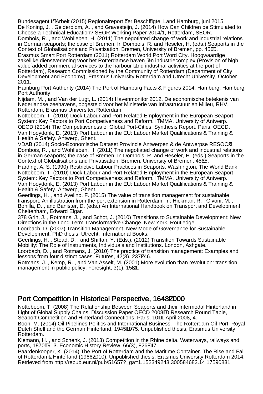Bundesagent fr Arbeit (2015) Regionalreport ber Beschftigte. Land Hamburg, juni 2015. De Koning, J. , Gelderblom, A. , and Gravesteijn, J. (2014) How Can Children be Stimulated to Choose a Technical Education? SEOR Working Paper 2014/1, Rotterdam, SEOR.

Dombois, R. , and Wohlleben, H. (2011) The negotiated change of work and industrial relations in German seaports; the case of Bremen. In Dombois, R. and Heseler, H. (eds.) Seaports in the Context of Globalisations and Privatisation. Bremen, University of Bremen, pp. 45â65. Erasmus Smart Port Rotterdam (2011) Rotterdam World Port Word City. Hoogwaardige zakelijke dienstverlening voor het Rotterdamse haven en industriecomplex (Provision of high value added commercial services to the harbour and industrial activities at the port of Rotterdam), Research Commissioned by the Community of Rotterdam (Department of City Development and Economy), Erasmus University Rotterdam and Utrecht University, October 2011.

Hamburg Port Authority (2014) The Port of Hamburg Facts & Figures 2014. Hamburg, Hamburg Port Authority.

Nijdam, M. , and Van der Lugt, L. (2014) Havenmonitor 2012. De economische betekenis van Nederlandse zeehavens, opgesteld voor het Ministerie van Infrastructuur en Milieu, RHV, Rotterdam, Erasmus Universiteit Rotterdam.

Notteboom, T. (2010) Dock Labour and Port-Related Employment in the European Seaport System: Key Factors to Port Competiveness and Reform. ITMMA, University of Antwerp. OECD (2014) The Competitiveness of Global Port-Cities: Synthesis Report. Paris, OECD. Van Hooydonk, E. (2013) Port Labour in the EU: Labour Market Qualifications & Training & Health & Safety. Antwerp, Ghent.

VDAB (2014) Socio-Economische Dataset Provincie Antwerpen & de Antwerpse RESOCâs. Dombois, R. , and Wohlleben, H. (2011) The negotiated change of work and industrial relations in German seaports; the case of Bremen. In Dombois, R. and Heseler, H. (eds.) Seaports in the Context of Globalisations and Privatisation. Bremen, University of Bremen, 45â65.

Harding, A. S. (1990) Restrictive Labour Practices in Seaports. Washington, The World Bank. Notteboom, T. (2010) Dock Labour and Port-Related Employment in the European Seaport System: Key Factors to Port Competiveness and Reform. ITMMA, University of Antwerp. Van Hooydonk, E. (2013) Port Labour in the EU: Labour Market Qualifications & Training & Health & Safety. Antwerp, Ghent.

Geerlings, H. , and Avelino, F. (2015) The value of transition management for sustainable transport: An illustration from the port extension in Rotterdam. In: Hickman, R. , Givoni, M. , Bonilla, D. , and Banister, D. (eds.) An International Handbook on Transport and Development. Cheltenham, Edward Elgar.

378 Grin, J. , Rotmans, J. , and Schot, J. (2010) Transitions to Sustainable Development; New Directions in the Long Term Transformative Change. New York, Routledge.

Loorbach, D. (2007) Transition Management. New Mode of Governance for Sustainable Development. PhD thesis. Utrecht, International Books.

Geerlings, H. , Stead, D. , and Shiftan, Y. (Eds.). (2012) Transition Towards Sustainable Mobility: The Role of Instruments, Individuals and Institutions. London, Ashgate.

Loorbach, D. , and Rotmans, J. (2010) The practice of transition management: Examples and lessons from four distinct cases. Futures, 42(3), 237246.

Rotmans, J. , Kemp, R. , and Van Asselt, M. (2001) More evolution than revolution: transition management in public policy. Foresight, 3(1), 1531.

#### Port Competition in Historical Perspective, 16482000

Notteboom, T. (2008) The Relationship Between Seaports and their Intermodal Hinterland in Light of Global Supply Chains. Discussion Paper OECD 200810 Research Round Table, Seaport Competition and Hinterland Connections, Paris, 1011 April 2008, 4.

Boon, M. (2014) Oil Pipelines Politics and International Business. The Rotterdam Oil Port, Royal Dutch Shell and the German Hinterland, 19451975. Unpublished thesis, Erasmus University Rotterdam.

Klemann, H. , and Schenk, J. (2013) Competition in the Rhine delta. Waterways, railways and ports, 18701913. Economic History Review, 66(3), 826847.

Paardenkooper, K. (2014) The Port of Rotterdam and the Maritime Container. The Rise and Fall of Rotterdams Hinterland (19662010). Unpublished thesis, Erasmus University Rotterdam 2014. Retrieved from http://repub.eur.nl/pub/51657?\_ga=1.152349243.300584682.14 17590831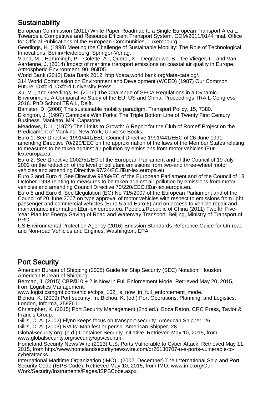#### **Sustainability**

European Commission (2011) White Paper Roadmap to a Single European Transport Area â Towards a Competitive and Resource Efficient Transport System. COM/2011/0144 final. Office for Official Publications of the European Communities, Luxembourg.

Geerlings, H. (1998) Meeting the Challenge of Sustainable Mobility: The Role of Technological Innovations. Berlin/Heidelberg, Springer-Verlag.

Viana, M. , Hammingh, P. , Colette, A. , Querol, X. , Degraeuwe, B. , De Vlieger, I. , and Van Aardenne, J. (2014) Impact of maritime transport emissions on coastal air quality in Europe. Atmospheric Environment, 90, 96105.

World Bank (2012) Data Bank 2012. http://data.world bank.org/data-catalog/.

314 World Commission on Environment and Development (WCED) (1987) Our Common Future. Oxford, Oxford University Press.

Xu, M. , and Geerlings, H. (2016) The Challenge of SECA Regulations in a Dynamic Environment; A Comparative Study of the EU, US and China. Proceedings TRAIL-Congress 2016. PhD School TRAIL, Delft.

Banister, D. (2008) The sustainable mobility paradigm. Transport Policy, 15, 73â80. Elkington, J. (1997) Cannibals With Forks: The Triple Bottom Line of Twenty First Century Business. Mankato, MN, Capstone.

Meadows, D. L. (1972) The Limits to Growth: A Report for the Club of Romes Project on the Predicament of Mankind. New York, Universe Books.

Euro 1: See Directive 1991/441/EEC Council Directive 1991/441/EEC of 26 June 1991 amending Directive 70/220/EEC on the approximation of the laws of the Member States relating to measures to be taken against air pollution by emissions from motor vehicles. Eurlex.europa.eu.

Euro 2: See Directive 2002/51/EC of the European Parliament and of the Council of 19 July 2002 on the reduction of the level of pollutant emissions from two-and three-wheel motor vehicles and amending Directive 97/24/EC. Eur-lex.europa.eu.

Euro 3 and Euro 4: See Directive 98/69/EC of the European Parliament and of the Council of 13 October 1998 relating to measures to be taken against air pollution by emissions from motor vehicles and amending Council Directive 70/220/EEC. Eur-lex.europa.eu.

Euro 5 and Euro 6: See Regulation (EC) No 715/2007 of the European Parliament and of the Council of 20 June 2007 on type approval of motor vehicles with respect to emissions from light passenger and commercial vehicles (Euro 5 and Euro 6) and on access to vehicle repair and maintenance information. Eur-lex.europa.eu. Peoples Republic of China (2011) Twelfth Five-Year Plan for Energy Saving of Road and Waterway Transport. Beijing, Ministry of Transport of PRC.

US Environmental Protection Agency (2016) Emission Standards Reference Guide for On-road and Non-road Vehicles and Engines. Washington, EPA.

#### Port Security

American Bureau of Shipping (2005) Guide for Ship Security (SEC) Notation. Houston, American Bureau of Shipping.

Berman, J. (2015) CBPs  $10 + 2$  is Now in Full Enforcement Mode. Retrieved May 20, 2015, from Logistics Management:

www.logisticsmgmt.com/article/cbps\_102\_is\_now\_in\_full\_enforcement\_mode.

Bichou, K. (2009) Port security. In: Bichou, K. (ed.) Port Operations, Planning, and Logistics. London, Informa, 259261.

Christopher, K. (2015) Port Security Management (2nd ed.). Boca Raton, CRC Press, Taylor & Francis Group.

Gillis, C. A. (2002) Flynn keeps focus on transport security. American Shipper, 26.

Gillis, C. A. (2003) NVOs: Manifest or perish. American Shipper, 28.

GlobalSecurity.org. (n.d.) Container Security Initiative. Retrieved May 10, 2015, from www.globalsecurity.org/security/ops/csi.htm.

Homeland Security News Wire (2013) U.S. Ports Vulnerable to Cyber Attack. Retrieved May 11, 2015, from http://www.homelandsecuritynewswire.com/dr20130707-u-s-ports-vulnerable-tocyberattacks.

International Maritime Organization (IMO) . (2002, December) The International Ship and Port Security Code (ISPS Code). Retrieved May 10, 2015, from IMO: www.imo.org/Our-Work/Security/Instruments/Pages/ISPSCode.aspx.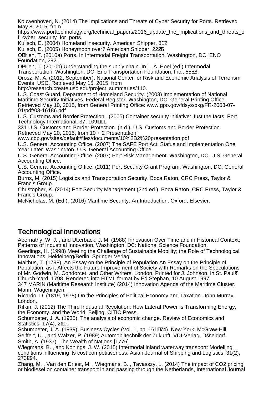Kouwenhoven, N. (2014) The Implications and Threats of Cyber Security for Ports. Retrieved May 8, 2015, from

https://www.porttechnology.org/technical\_papers/2016\_update\_the\_implications\_and\_threats\_o f cyber security for ports.

Kulisch, E. (2004) Homeland insecurity. American Shipper, 8â12.

Kulisch, E. (2005) Honeymoon over? American Shipper, 2225.

OBrien, T. (2010a) Ports. In Intermodal Freight Transportation. Washington, DC, ENO Foundation, 292.

OBrien, T. (2010b) Understanding the supply chain. In L. A. Hoel (ed.) Intermodal Transportation. Washington, DC, Eno Transportation Foundation, Inc., 55â58.

Orosz, M. A. (2012, September). National Center for Risk and Economic Analysis of Terrorism Events, USC. Retrieved May 15, 2015, from

http://research.create.usc.edu/project\_summaries/110.

U.S. Coast Guard, Department of Homeland Security. (2003) Implementation of National Maritime Security Initiatives. Federal Register. Washington, DC, General Printing Office. Retrieved May 10, 2015, from General Printing Office: www.gpo.gov/fdsys/pkg/FR-2003-07- 01/pdf/03-16186.pdf

U.S. Customs and Border Protection . (2005) Container security initiative: Just the facts. Port Technology International, 37, 109111.

331 U.S. Customs and Border Protection. (n.d.). U.S. Customs and Border Protection. Retrieved May 20, 2015, from  $10 + 2$  Presentation:

www.cbp.gov/sites/default/files/documents/10%2B2%20presentation.pdf

U.S. General Accounting Office. (2007) The SAFE Port Act: Status and Implementation One Year Later. Washington, U.S. General Accounting Office.

U.S. General Accounting Office. (2007) Port Risk Management. Washington, DC, U.S. General Accounting Office.

U.S. General Accounting Office. (2011) Port Security Grant Program. Washington, DC, General Accounting Office.

Burns, M. (2015) Logistics and Transportation Security. Boca Raton, CRC Press, Taylor & Francis Group.

Christopher, K. (2014) Port Security Management (2nd ed.). Boca Raton, CRC Press, Taylor & Francis Group.

McNicholas, M. (Ed.). (2016) Maritime Security: An Introduction. Oxford, Elsevier.

#### Technological Innovations

Abernathy, W. J. , and Utterback, J. M. (1988) Innovation Over Time and in Historical Context; Patterns of Industrial Innovation. Washington, DC: National Science Foundation. Geerlings, H. (1998) Meeting the Challenge of Sustainable Mobility; the Role of Technological

Innovations. Heidelberg/Berlin, Springer Verlag.

Malthus, T. (1798). An Essay on the Principle of Population An Essay on the Principle of Population, as it Affects the Future Improvement of Society with Remarks on the Speculations of Mr. Godwin, M. Condorcet, and Other Writers. London, Printed for J. Johnson, in St. Pauls Church-Yard, 1798. Rendered into HTML format by Ed Stephan, 10 August 1997.

347 MARIN (Maritime Research Institute) (2014) Innovation Agenda of the Maritime Cluster. Marin, Wageningen.

Ricardo, D. (1819, 1978) On the Principles of Political Economy and Taxation. John Murray, London.

Rifkin, J. (2012) The Third Industrial Revolution: How Lateral Power Is Transforming Energy, the Economy, and the World. Beijing, CITIC Press.

Schumpeter, J. A. (1935). The analysis of economic change. Review of Economics and Statistics, 17(4), 210.

Schumpeter, J. A. (1939). Business Cycles (Vol. 1, pp. 161174). New York: McGraw-Hill. Seiffert, U., and Walzer, P. (1989) Automobiltechnik der Zukunft. VDI-Verlag, Dsseldorf. Smith, A. (1937). The Wealth of Nations [1776].

Wiegmans, B. , and Konings, J. W. (2015) Intermodal inland waterway transport: Modelling conditions influencing its cost competitiveness. Asian Journal of Shipping and Logistics, 31(2), 273294.

Zhang, M. , Van den Driest, M. , Wiegmans, B. , Tavasszy, L. (2014) The impact of CO2 pricing or biodiesel on container transport in and passing through the Netherlands, International Journal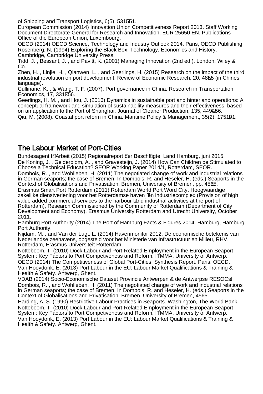of Shipping and Transport Logistics, 6(5), 531551.

European Commission (2014) Innovation Union Competitiveness Report 2013. Staff Working Document Directorate-General for Research and Innovation. EUR 25650 EN. Publications Office of the European Union, Luxembourg.

OECD (2014) OECD Science, Technology and Industry Outlook 2014. Paris, OECD Publishing. Rosenberg, N. (1994) Exploring the Black Box; Technology, Economics and History. Cambridge, Cambridge University Press.

Tidd, J. , Bessant, J. , and Pavitt, K. (2001) Managing Innovation (2nd ed.). London, Wiley & Co.

Zhen, H. , Linjie, H. , Qianwen, L. , and Geerlings, H. (2015) Research on the impact of the third industrial revolution on port development. Review of Economic Research, 20, 4855 (in Chines language).

Cullinane, K. , & Wang, T. F. (2007). Port governance in China. Research in Transportation Economics, 17, 331â356.

Geerlings, H. M. , and Hou, J. (2016) Dynamics in sustainable port and hinterland operations: A conceptual framework and simulation of sustainability measures and their effectiveness, based on an application to the Port of Shanghai. Journal of Cleaner Production, 135, 449456.

Qiu, M. (2008). Coastal port reform in China. Maritime Policy & Management, 35(2), 175â191.

#### The Labour Market of Port-Cities

Bundesagent fr Arbeit (2015) Regionalreport ber Beschftigte. Land Hamburg, juni 2015. De Koning, J. , Gelderblom, A. , and Gravesteijn, J. (2014) How Can Children be Stimulated to Choose a Technical Education? SEOR Working Paper 2014/1, Rotterdam, SEOR.

Dombois, R. , and Wohlleben, H. (2011) The negotiated change of work and industrial relations in German seaports; the case of Bremen. In Dombois, R. and Heseler, H. (eds.) Seaports in the Context of Globalisations and Privatisation. Bremen, University of Bremen, pp. 45â65. Erasmus Smart Port Rotterdam (2011) Rotterdam World Port Word City. Hoogwaardige

zakelijke dienstverlening voor het Rotterdamse haven en industriecomplex (Provision of high value added commercial services to the harbour and industrial activities at the port of Rotterdam), Research Commissioned by the Community of Rotterdam (Department of City Development and Economy), Erasmus University Rotterdam and Utrecht University, October 2011.

Hamburg Port Authority (2014) The Port of Hamburg Facts & Figures 2014. Hamburg, Hamburg Port Authority.

Nijdam, M. , and Van der Lugt, L. (2014) Havenmonitor 2012. De economische betekenis van Nederlandse zeehavens, opgesteld voor het Ministerie van Infrastructuur en Milieu, RHV, Rotterdam, Erasmus Universiteit Rotterdam.

Notteboom, T. (2010) Dock Labour and Port-Related Employment in the European Seaport System: Key Factors to Port Competiveness and Reform. ITMMA, University of Antwerp. OECD (2014) The Competitiveness of Global Port-Cities: Synthesis Report. Paris, OECD. Van Hooydonk, E. (2013) Port Labour in the EU: Labour Market Qualifications & Training & Health & Safety. Antwerp, Ghent.

VDAB (2014) Socio-Economische Dataset Provincie Antwerpen & de Antwerpse RESOCâs. Dombois, R. , and Wohlleben, H. (2011) The negotiated change of work and industrial relations in German seaports; the case of Bremen. In Dombois, R. and Heseler, H. (eds.) Seaports in the Context of Globalisations and Privatisation. Bremen, University of Bremen, 45â65.

Harding, A. S. (1990) Restrictive Labour Practices in Seaports. Washington, The World Bank. Notteboom, T. (2010) Dock Labour and Port-Related Employment in the European Seaport System: Key Factors to Port Competiveness and Reform. ITMMA, University of Antwerp. Van Hooydonk, E. (2013) Port Labour in the EU: Labour Market Qualifications & Training & Health & Safety. Antwerp, Ghent.